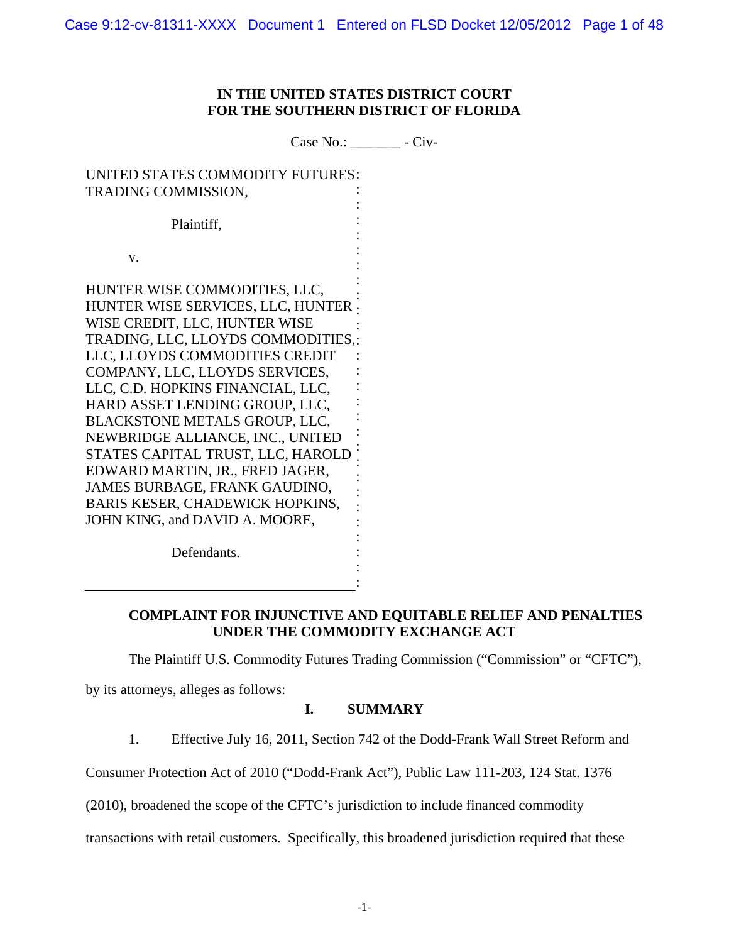# **IN THE UNITED STATES DISTRICT COURT FOR THE SOUTHERN DISTRICT OF FLORIDA**

Case No.: \_\_\_\_\_\_\_ - Civ-

UNITED STATES COMMODITY FUTURES : TRADING COMMISSION, Plaintiff, v. HUNTER WISE COMMODITIES, LLC, HUNTER WISE SERVICES, LLC, HUNTER WISE CREDIT, LLC, HUNTER WISE TRADING, LLC, LLOYDS COMMODITIES,: LLC, LLOYDS COMMODITIES CREDIT COMPANY, LLC, LLOYDS SERVICES, LLC, C.D. HOPKINS FINANCIAL, LLC, HARD ASSET LENDING GROUP, LLC, BLACKSTONE METALS GROUP, LLC, NEWBRIDGE ALLIANCE, INC., UNITED STATES CAPITAL TRUST, LLC, HAROLD EDWARD MARTIN, JR., FRED JAGER, JAMES BURBAGE, FRANK GAUDINO, BARIS KESER, CHADEWICK HOPKINS, JOHN KING, and DAVID A. MOORE, : : : : : : : : : : : : : : : : : : : : : : :

Defendants.

# **COMPLAINT FOR INJUNCTIVE AND EQUITABLE RELIEF AND PENALTIES UNDER THE COMMODITY EXCHANGE ACT**

The Plaintiff U.S. Commodity Futures Trading Commission ("Commission" or "CFTC"),

by its attorneys, alleges as follows:

# **I. SUMMARY**

: : :

1. Effective July 16, 2011, Section 742 of the Dodd-Frank Wall Street Reform and

Consumer Protection Act of 2010 ("Dodd-Frank Act"), Public Law 111-203, 124 Stat. 1376

(2010), broadened the scope of the CFTC's jurisdiction to include financed commodity

transactions with retail customers. Specifically, this broadened jurisdiction required that these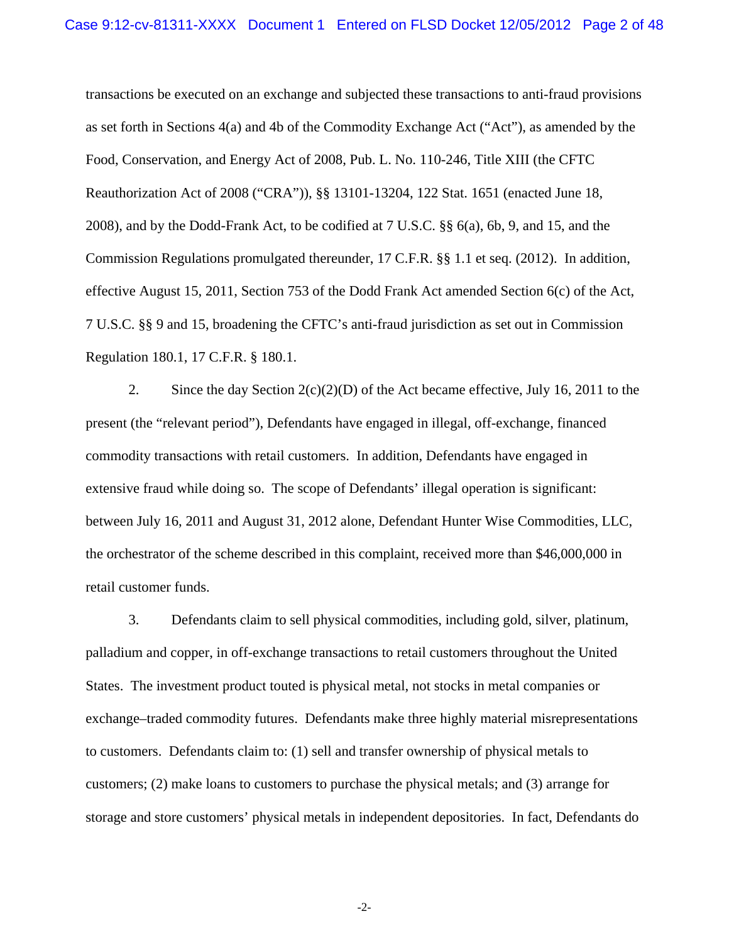transactions be executed on an exchange and subjected these transactions to anti-fraud provisions as set forth in Sections 4(a) and 4b of the Commodity Exchange Act ("Act"), as amended by the Food, Conservation, and Energy Act of 2008, Pub. L. No. 110-246, Title XIII (the CFTC Reauthorization Act of 2008 ("CRA")), §§ 13101-13204, 122 Stat. 1651 (enacted June 18, 2008), and by the Dodd-Frank Act, to be codified at 7 U.S.C. §§ 6(a), 6b, 9, and 15, and the Commission Regulations promulgated thereunder, 17 C.F.R. §§ 1.1 et seq. (2012). In addition, effective August 15, 2011, Section 753 of the Dodd Frank Act amended Section 6(c) of the Act, 7 U.S.C. §§ 9 and 15, broadening the CFTC's anti-fraud jurisdiction as set out in Commission Regulation 180.1, 17 C.F.R. § 180.1.

2. Since the day Section  $2(c)(2)(D)$  of the Act became effective, July 16, 2011 to the present (the "relevant period"), Defendants have engaged in illegal, off-exchange, financed commodity transactions with retail customers. In addition, Defendants have engaged in extensive fraud while doing so. The scope of Defendants' illegal operation is significant: between July 16, 2011 and August 31, 2012 alone, Defendant Hunter Wise Commodities, LLC, the orchestrator of the scheme described in this complaint, received more than \$46,000,000 in retail customer funds.

3. Defendants claim to sell physical commodities, including gold, silver, platinum, palladium and copper, in off-exchange transactions to retail customers throughout the United States. The investment product touted is physical metal, not stocks in metal companies or exchange–traded commodity futures. Defendants make three highly material misrepresentations to customers. Defendants claim to: (1) sell and transfer ownership of physical metals to customers; (2) make loans to customers to purchase the physical metals; and (3) arrange for storage and store customers' physical metals in independent depositories. In fact, Defendants do

-2-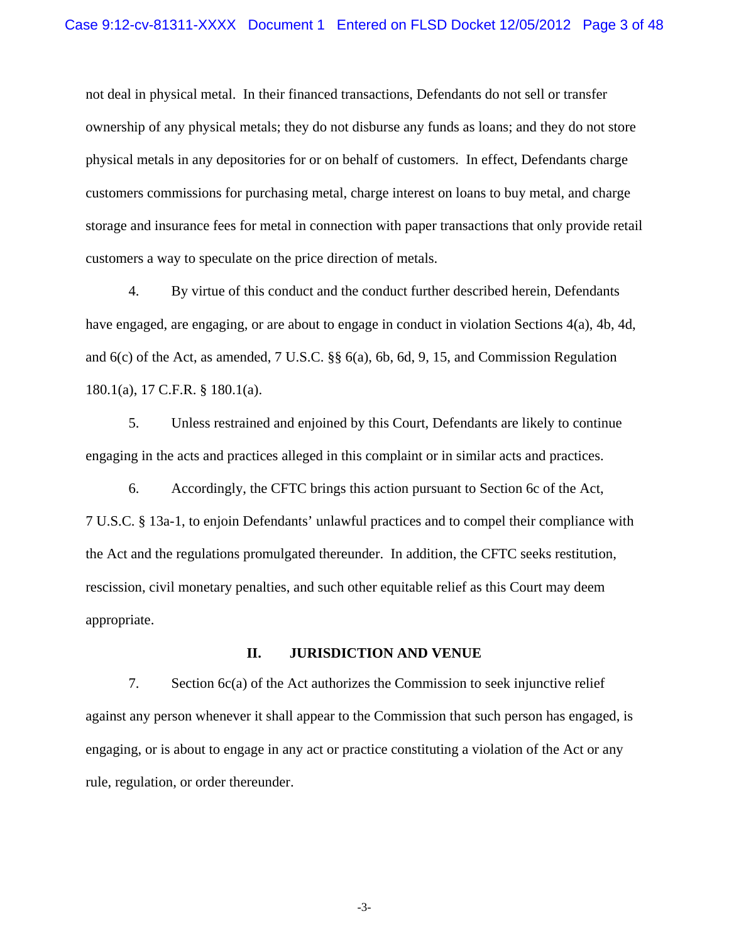not deal in physical metal. In their financed transactions, Defendants do not sell or transfer ownership of any physical metals; they do not disburse any funds as loans; and they do not store physical metals in any depositories for or on behalf of customers. In effect, Defendants charge customers commissions for purchasing metal, charge interest on loans to buy metal, and charge storage and insurance fees for metal in connection with paper transactions that only provide retail customers a way to speculate on the price direction of metals.

4. By virtue of this conduct and the conduct further described herein, Defendants have engaged, are engaging, or are about to engage in conduct in violation Sections 4(a), 4b, 4d, and 6(c) of the Act, as amended, 7 U.S.C. §§ 6(a), 6b, 6d, 9, 15, and Commission Regulation 180.1(a), 17 C.F.R. § 180.1(a).

5. Unless restrained and enjoined by this Court, Defendants are likely to continue engaging in the acts and practices alleged in this complaint or in similar acts and practices.

6. Accordingly, the CFTC brings this action pursuant to Section 6c of the Act, 7 U.S.C. § 13a-1, to enjoin Defendants' unlawful practices and to compel their compliance with the Act and the regulations promulgated thereunder. In addition, the CFTC seeks restitution, rescission, civil monetary penalties, and such other equitable relief as this Court may deem appropriate.

### **II. JURISDICTION AND VENUE**

7. Section 6c(a) of the Act authorizes the Commission to seek injunctive relief against any person whenever it shall appear to the Commission that such person has engaged, is engaging, or is about to engage in any act or practice constituting a violation of the Act or any rule, regulation, or order thereunder.

-3-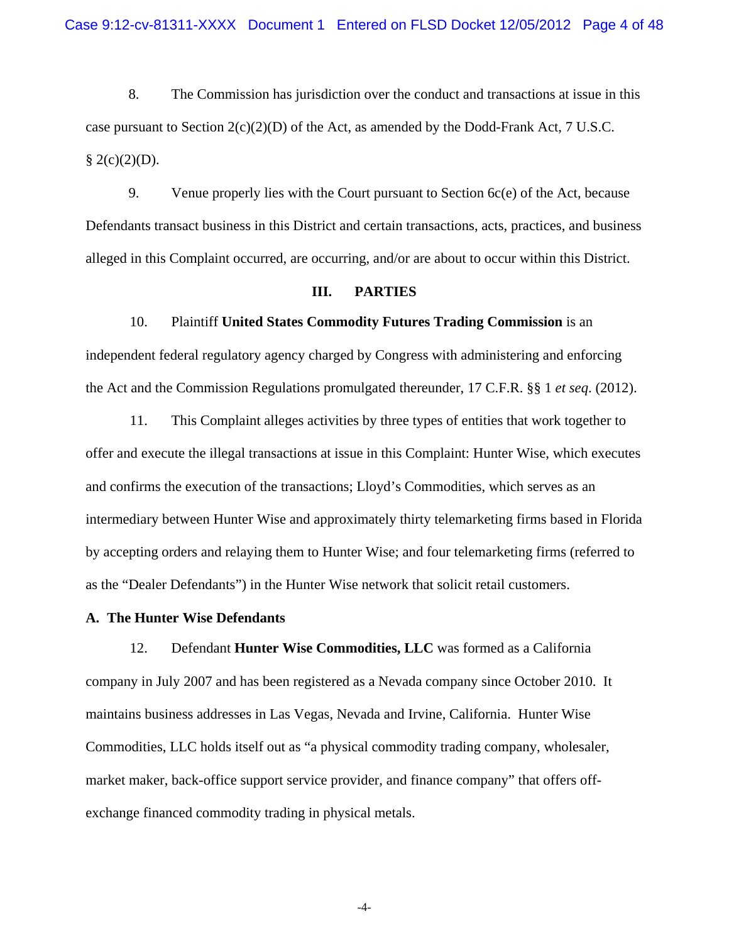8. The Commission has jurisdiction over the conduct and transactions at issue in this case pursuant to Section  $2(c)(2)(D)$  of the Act, as amended by the Dodd-Frank Act, 7 U.S.C.  $\S$  2(c)(2)(D).

9. Venue properly lies with the Court pursuant to Section 6c(e) of the Act, because Defendants transact business in this District and certain transactions, acts, practices, and business alleged in this Complaint occurred, are occurring, and/or are about to occur within this District.

## **III. PARTIES**

### 10. Plaintiff **United States Commodity Futures Trading Commission** is an

independent federal regulatory agency charged by Congress with administering and enforcing the Act and the Commission Regulations promulgated thereunder, 17 C.F.R. §§ 1 *et seq*. (2012).

11. This Complaint alleges activities by three types of entities that work together to offer and execute the illegal transactions at issue in this Complaint: Hunter Wise, which executes and confirms the execution of the transactions; Lloyd's Commodities, which serves as an intermediary between Hunter Wise and approximately thirty telemarketing firms based in Florida by accepting orders and relaying them to Hunter Wise; and four telemarketing firms (referred to as the "Dealer Defendants") in the Hunter Wise network that solicit retail customers.

## **A. The Hunter Wise Defendants**

12. Defendant **Hunter Wise Commodities, LLC** was formed as a California company in July 2007 and has been registered as a Nevada company since October 2010. It maintains business addresses in Las Vegas, Nevada and Irvine, California. Hunter Wise Commodities, LLC holds itself out as "a physical commodity trading company, wholesaler, market maker, back-office support service provider, and finance company" that offers offexchange financed commodity trading in physical metals.

-4-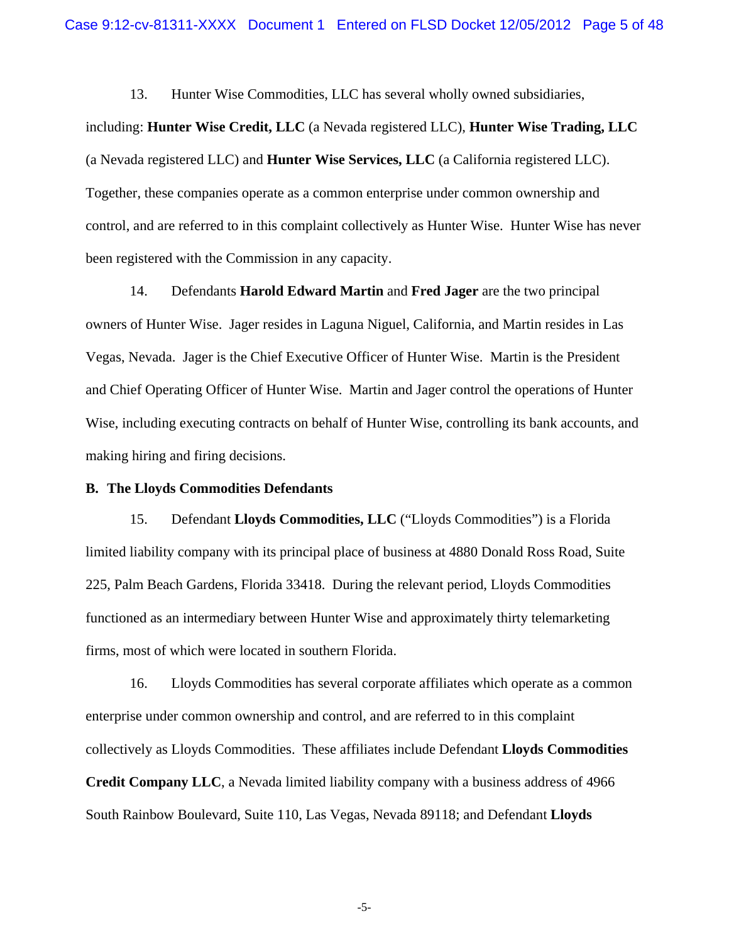13. Hunter Wise Commodities, LLC has several wholly owned subsidiaries,

including: **Hunter Wise Credit, LLC** (a Nevada registered LLC), **Hunter Wise Trading, LLC** (a Nevada registered LLC) and **Hunter Wise Services, LLC** (a California registered LLC). Together, these companies operate as a common enterprise under common ownership and control, and are referred to in this complaint collectively as Hunter Wise. Hunter Wise has never been registered with the Commission in any capacity.

14. Defendants **Harold Edward Martin** and **Fred Jager** are the two principal owners of Hunter Wise. Jager resides in Laguna Niguel, California, and Martin resides in Las Vegas, Nevada. Jager is the Chief Executive Officer of Hunter Wise. Martin is the President and Chief Operating Officer of Hunter Wise. Martin and Jager control the operations of Hunter Wise, including executing contracts on behalf of Hunter Wise, controlling its bank accounts, and making hiring and firing decisions.

### **B. The Lloyds Commodities Defendants**

15. Defendant **Lloyds Commodities, LLC** ("Lloyds Commodities") is a Florida limited liability company with its principal place of business at 4880 Donald Ross Road, Suite 225, Palm Beach Gardens, Florida 33418. During the relevant period, Lloyds Commodities functioned as an intermediary between Hunter Wise and approximately thirty telemarketing firms, most of which were located in southern Florida.

16. Lloyds Commodities has several corporate affiliates which operate as a common enterprise under common ownership and control, and are referred to in this complaint collectively as Lloyds Commodities. These affiliates include Defendant **Lloyds Commodities Credit Company LLC**, a Nevada limited liability company with a business address of 4966 South Rainbow Boulevard, Suite 110, Las Vegas, Nevada 89118; and Defendant **Lloyds** 

-5-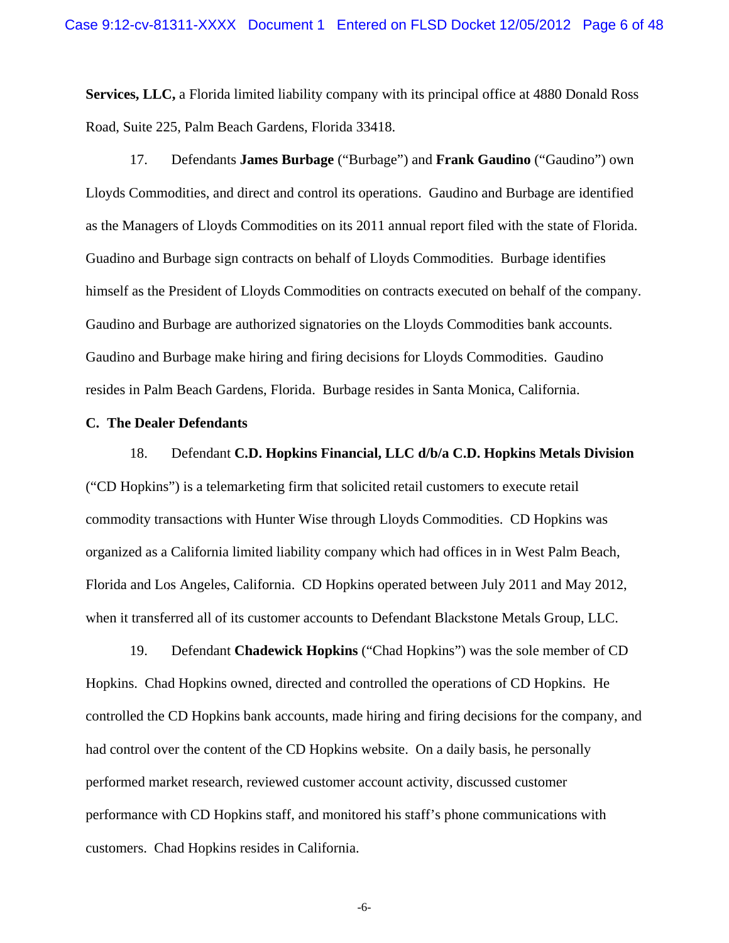**Services, LLC,** a Florida limited liability company with its principal office at 4880 Donald Ross Road, Suite 225, Palm Beach Gardens, Florida 33418.

17. Defendants **James Burbage** ("Burbage") and **Frank Gaudino** ("Gaudino") own Lloyds Commodities, and direct and control its operations. Gaudino and Burbage are identified as the Managers of Lloyds Commodities on its 2011 annual report filed with the state of Florida. Guadino and Burbage sign contracts on behalf of Lloyds Commodities. Burbage identifies himself as the President of Lloyds Commodities on contracts executed on behalf of the company. Gaudino and Burbage are authorized signatories on the Lloyds Commodities bank accounts. Gaudino and Burbage make hiring and firing decisions for Lloyds Commodities. Gaudino resides in Palm Beach Gardens, Florida. Burbage resides in Santa Monica, California.

### **C. The Dealer Defendants**

18. Defendant **C.D. Hopkins Financial, LLC d/b/a C.D. Hopkins Metals Division** ("CD Hopkins") is a telemarketing firm that solicited retail customers to execute retail commodity transactions with Hunter Wise through Lloyds Commodities. CD Hopkins was organized as a California limited liability company which had offices in in West Palm Beach, Florida and Los Angeles, California. CD Hopkins operated between July 2011 and May 2012, when it transferred all of its customer accounts to Defendant Blackstone Metals Group, LLC.

19. Defendant **Chadewick Hopkins** ("Chad Hopkins") was the sole member of CD Hopkins. Chad Hopkins owned, directed and controlled the operations of CD Hopkins. He controlled the CD Hopkins bank accounts, made hiring and firing decisions for the company, and had control over the content of the CD Hopkins website. On a daily basis, he personally performed market research, reviewed customer account activity, discussed customer performance with CD Hopkins staff, and monitored his staff's phone communications with customers. Chad Hopkins resides in California.

-6-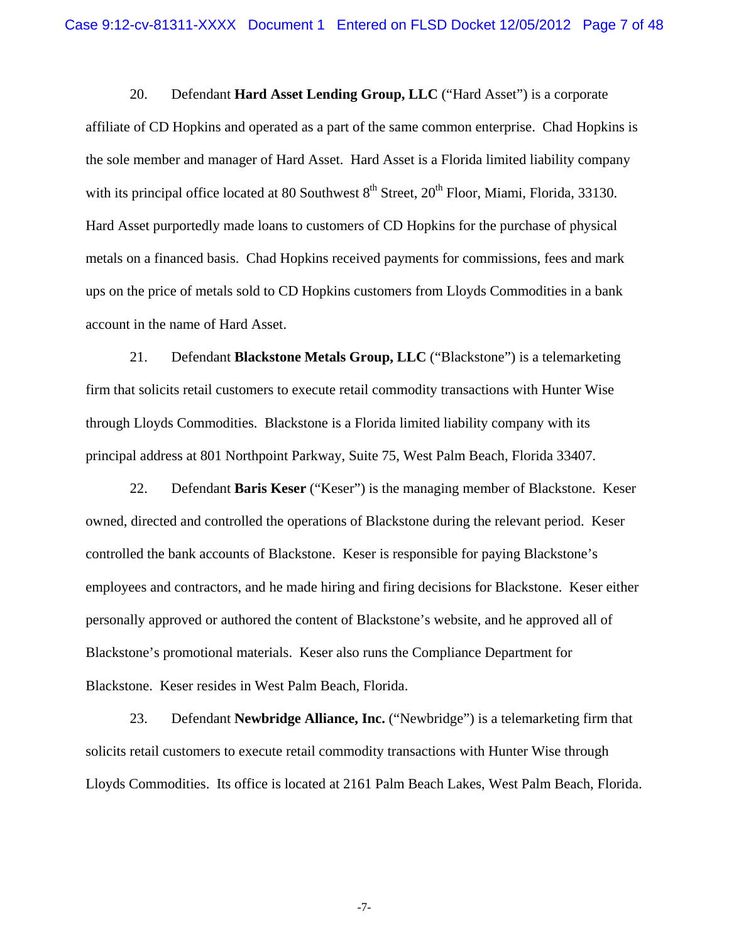20. Defendant **Hard Asset Lending Group, LLC** ("Hard Asset") is a corporate affiliate of CD Hopkins and operated as a part of the same common enterprise. Chad Hopkins is the sole member and manager of Hard Asset. Hard Asset is a Florida limited liability company with its principal office located at 80 Southwest  $8<sup>th</sup>$  Street,  $20<sup>th</sup>$  Floor, Miami, Florida, 33130. Hard Asset purportedly made loans to customers of CD Hopkins for the purchase of physical metals on a financed basis. Chad Hopkins received payments for commissions, fees and mark ups on the price of metals sold to CD Hopkins customers from Lloyds Commodities in a bank account in the name of Hard Asset.

21. Defendant **Blackstone Metals Group, LLC** ("Blackstone") is a telemarketing firm that solicits retail customers to execute retail commodity transactions with Hunter Wise through Lloyds Commodities. Blackstone is a Florida limited liability company with its principal address at 801 Northpoint Parkway, Suite 75, West Palm Beach, Florida 33407.

22. Defendant **Baris Keser** ("Keser") is the managing member of Blackstone. Keser owned, directed and controlled the operations of Blackstone during the relevant period. Keser controlled the bank accounts of Blackstone. Keser is responsible for paying Blackstone's employees and contractors, and he made hiring and firing decisions for Blackstone. Keser either personally approved or authored the content of Blackstone's website, and he approved all of Blackstone's promotional materials. Keser also runs the Compliance Department for Blackstone. Keser resides in West Palm Beach, Florida.

23. Defendant **Newbridge Alliance, Inc.** ("Newbridge") is a telemarketing firm that solicits retail customers to execute retail commodity transactions with Hunter Wise through Lloyds Commodities. Its office is located at 2161 Palm Beach Lakes, West Palm Beach, Florida.

-7-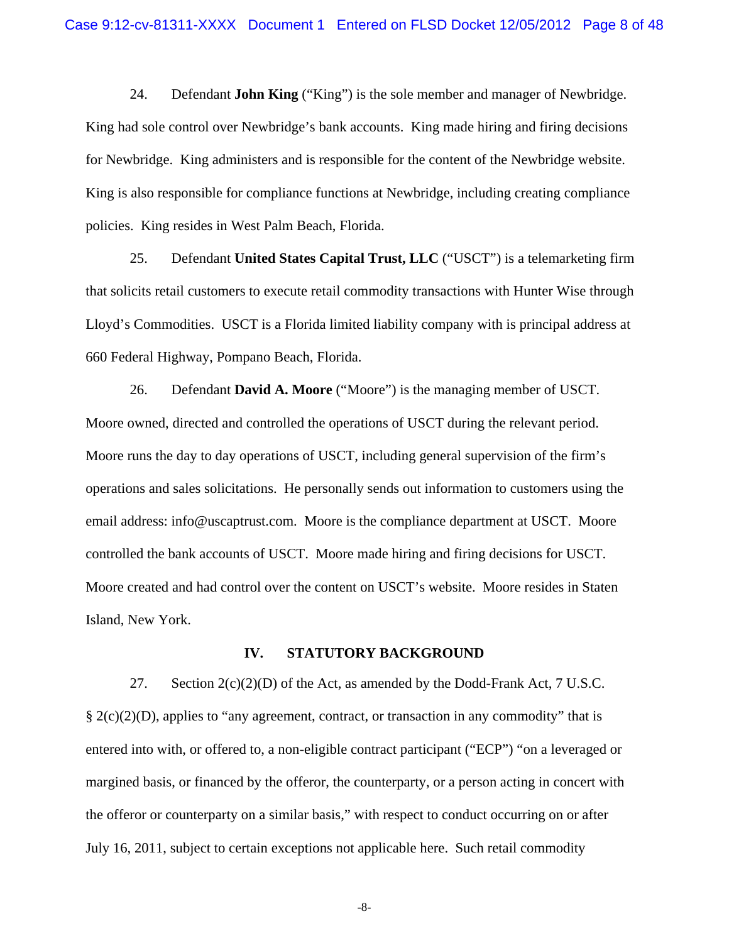24. Defendant **John King** ("King") is the sole member and manager of Newbridge. King had sole control over Newbridge's bank accounts. King made hiring and firing decisions for Newbridge. King administers and is responsible for the content of the Newbridge website. King is also responsible for compliance functions at Newbridge, including creating compliance policies. King resides in West Palm Beach, Florida.

25. Defendant **United States Capital Trust, LLC** ("USCT") is a telemarketing firm that solicits retail customers to execute retail commodity transactions with Hunter Wise through Lloyd's Commodities. USCT is a Florida limited liability company with is principal address at 660 Federal Highway, Pompano Beach, Florida.

26. Defendant **David A. Moore** ("Moore") is the managing member of USCT. Moore owned, directed and controlled the operations of USCT during the relevant period. Moore runs the day to day operations of USCT, including general supervision of the firm's operations and sales solicitations. He personally sends out information to customers using the email address: info@uscaptrust.com. Moore is the compliance department at USCT. Moore controlled the bank accounts of USCT. Moore made hiring and firing decisions for USCT. Moore created and had control over the content on USCT's website. Moore resides in Staten Island, New York.

### **IV. STATUTORY BACKGROUND**

27. Section  $2(c)(2)(D)$  of the Act, as amended by the Dodd-Frank Act, 7 U.S.C.  $\S 2(c)(2)(D)$ , applies to "any agreement, contract, or transaction in any commodity" that is entered into with, or offered to, a non-eligible contract participant ("ECP") "on a leveraged or margined basis, or financed by the offeror, the counterparty, or a person acting in concert with the offeror or counterparty on a similar basis," with respect to conduct occurring on or after July 16, 2011, subject to certain exceptions not applicable here. Such retail commodity

-8-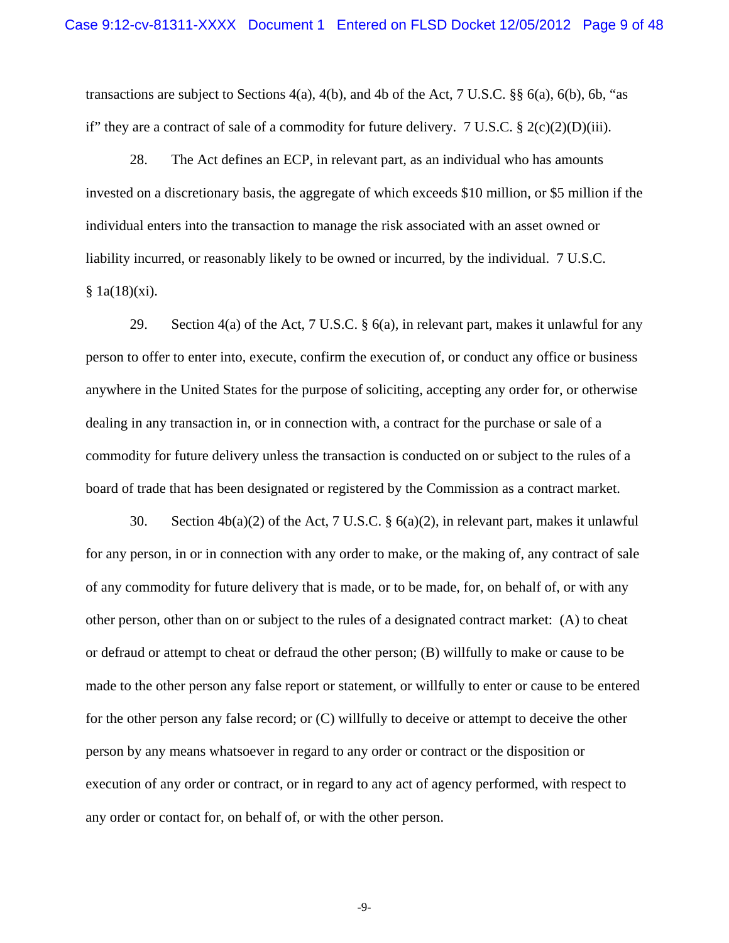transactions are subject to Sections  $4(a)$ ,  $4(b)$ , and  $4b$  of the Act, 7 U.S.C. §§  $6(a)$ ,  $6(b)$ ,  $6b$ , "as if" they are a contract of sale of a commodity for future delivery. 7 U.S.C.  $\S 2(c)(2)(D)(iii)$ .

28. The Act defines an ECP, in relevant part, as an individual who has amounts invested on a discretionary basis, the aggregate of which exceeds \$10 million, or \$5 million if the individual enters into the transaction to manage the risk associated with an asset owned or liability incurred, or reasonably likely to be owned or incurred, by the individual. 7 U.S.C.  $§ 1a(18)(xi).$ 

29. Section 4(a) of the Act, 7 U.S.C. § 6(a), in relevant part, makes it unlawful for any person to offer to enter into, execute, confirm the execution of, or conduct any office or business anywhere in the United States for the purpose of soliciting, accepting any order for, or otherwise dealing in any transaction in, or in connection with, a contract for the purchase or sale of a commodity for future delivery unless the transaction is conducted on or subject to the rules of a board of trade that has been designated or registered by the Commission as a contract market.

30. Section 4b(a)(2) of the Act, 7 U.S.C. § 6(a)(2), in relevant part, makes it unlawful for any person, in or in connection with any order to make, or the making of, any contract of sale of any commodity for future delivery that is made, or to be made, for, on behalf of, or with any other person, other than on or subject to the rules of a designated contract market: (A) to cheat or defraud or attempt to cheat or defraud the other person; (B) willfully to make or cause to be made to the other person any false report or statement, or willfully to enter or cause to be entered for the other person any false record; or (C) willfully to deceive or attempt to deceive the other person by any means whatsoever in regard to any order or contract or the disposition or execution of any order or contract, or in regard to any act of agency performed, with respect to any order or contact for, on behalf of, or with the other person.

-9-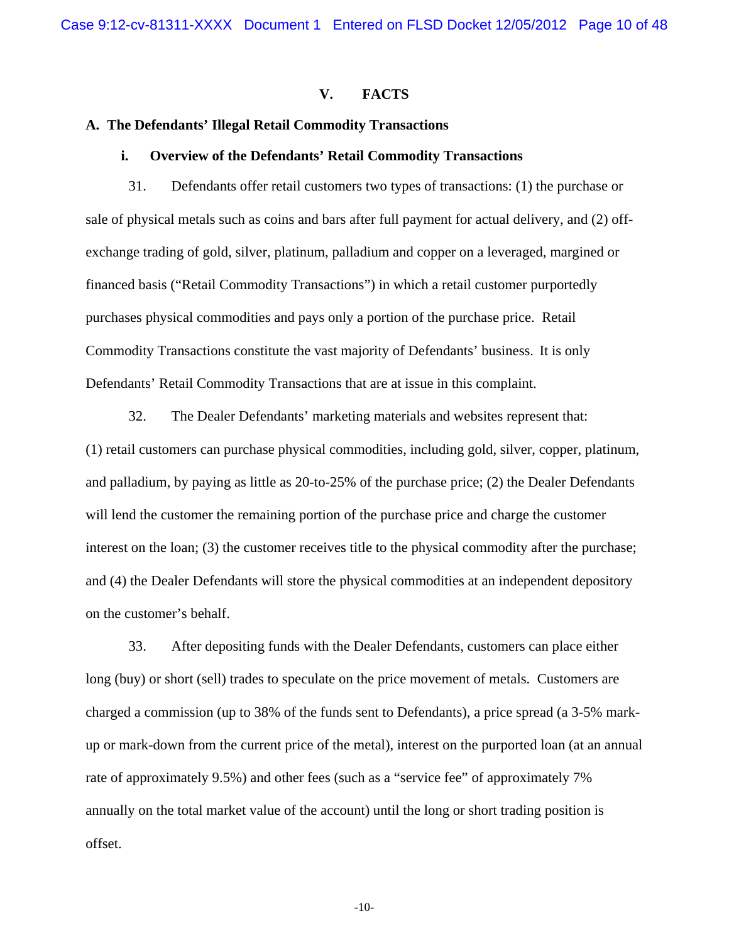## **V. FACTS**

## **A. The Defendants' Illegal Retail Commodity Transactions**

### **i. Overview of the Defendants' Retail Commodity Transactions**

31. Defendants offer retail customers two types of transactions: (1) the purchase or sale of physical metals such as coins and bars after full payment for actual delivery, and (2) offexchange trading of gold, silver, platinum, palladium and copper on a leveraged, margined or financed basis ("Retail Commodity Transactions") in which a retail customer purportedly purchases physical commodities and pays only a portion of the purchase price. Retail Commodity Transactions constitute the vast majority of Defendants' business. It is only Defendants' Retail Commodity Transactions that are at issue in this complaint.

32. The Dealer Defendants' marketing materials and websites represent that: (1) retail customers can purchase physical commodities, including gold, silver, copper, platinum, and palladium, by paying as little as 20-to-25% of the purchase price; (2) the Dealer Defendants will lend the customer the remaining portion of the purchase price and charge the customer interest on the loan; (3) the customer receives title to the physical commodity after the purchase; and (4) the Dealer Defendants will store the physical commodities at an independent depository on the customer's behalf.

33. After depositing funds with the Dealer Defendants, customers can place either long (buy) or short (sell) trades to speculate on the price movement of metals. Customers are charged a commission (up to 38% of the funds sent to Defendants), a price spread (a 3-5% markup or mark-down from the current price of the metal), interest on the purported loan (at an annual rate of approximately 9.5%) and other fees (such as a "service fee" of approximately 7% annually on the total market value of the account) until the long or short trading position is offset.

-10-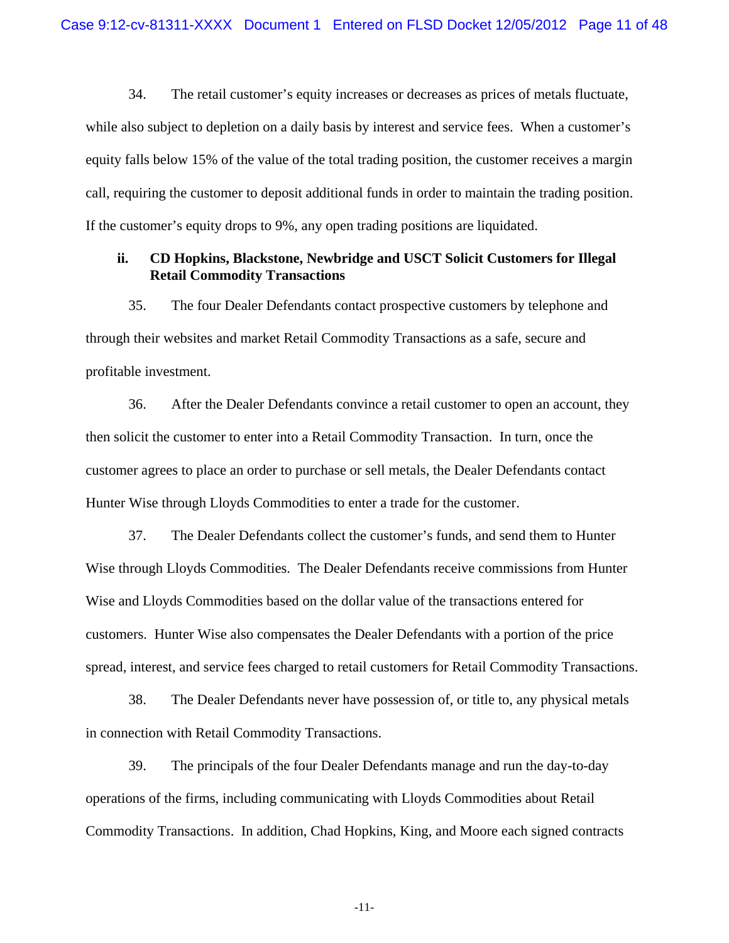34. The retail customer's equity increases or decreases as prices of metals fluctuate, while also subject to depletion on a daily basis by interest and service fees. When a customer's equity falls below 15% of the value of the total trading position, the customer receives a margin call, requiring the customer to deposit additional funds in order to maintain the trading position. If the customer's equity drops to 9%, any open trading positions are liquidated.

## **ii. CD Hopkins, Blackstone, Newbridge and USCT Solicit Customers for Illegal Retail Commodity Transactions**

35. The four Dealer Defendants contact prospective customers by telephone and through their websites and market Retail Commodity Transactions as a safe, secure and profitable investment.

36. After the Dealer Defendants convince a retail customer to open an account, they then solicit the customer to enter into a Retail Commodity Transaction. In turn, once the customer agrees to place an order to purchase or sell metals, the Dealer Defendants contact Hunter Wise through Lloyds Commodities to enter a trade for the customer.

37. The Dealer Defendants collect the customer's funds, and send them to Hunter Wise through Lloyds Commodities. The Dealer Defendants receive commissions from Hunter Wise and Lloyds Commodities based on the dollar value of the transactions entered for customers. Hunter Wise also compensates the Dealer Defendants with a portion of the price spread, interest, and service fees charged to retail customers for Retail Commodity Transactions.

38. The Dealer Defendants never have possession of, or title to, any physical metals in connection with Retail Commodity Transactions.

39. The principals of the four Dealer Defendants manage and run the day-to-day operations of the firms, including communicating with Lloyds Commodities about Retail Commodity Transactions. In addition, Chad Hopkins, King, and Moore each signed contracts

-11-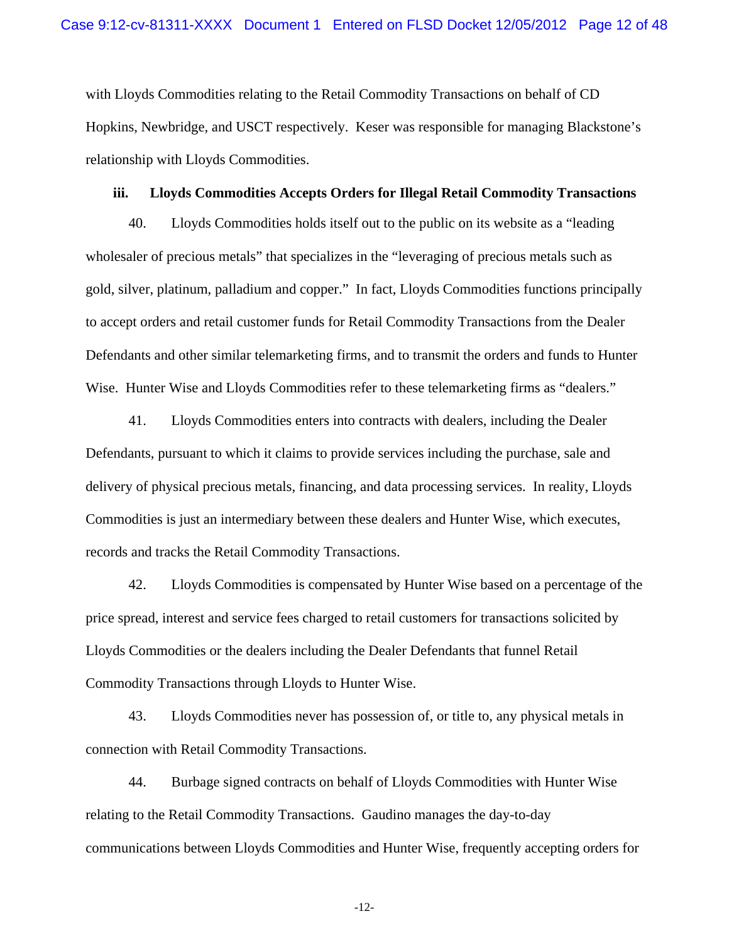with Lloyds Commodities relating to the Retail Commodity Transactions on behalf of CD Hopkins, Newbridge, and USCT respectively. Keser was responsible for managing Blackstone's relationship with Lloyds Commodities.

## **iii. Lloyds Commodities Accepts Orders for Illegal Retail Commodity Transactions**

40. Lloyds Commodities holds itself out to the public on its website as a "leading wholesaler of precious metals" that specializes in the "leveraging of precious metals such as gold, silver, platinum, palladium and copper." In fact, Lloyds Commodities functions principally to accept orders and retail customer funds for Retail Commodity Transactions from the Dealer Defendants and other similar telemarketing firms, and to transmit the orders and funds to Hunter Wise. Hunter Wise and Lloyds Commodities refer to these telemarketing firms as "dealers."

41. Lloyds Commodities enters into contracts with dealers, including the Dealer Defendants, pursuant to which it claims to provide services including the purchase, sale and delivery of physical precious metals, financing, and data processing services. In reality, Lloyds Commodities is just an intermediary between these dealers and Hunter Wise, which executes, records and tracks the Retail Commodity Transactions.

42. Lloyds Commodities is compensated by Hunter Wise based on a percentage of the price spread, interest and service fees charged to retail customers for transactions solicited by Lloyds Commodities or the dealers including the Dealer Defendants that funnel Retail Commodity Transactions through Lloyds to Hunter Wise.

43. Lloyds Commodities never has possession of, or title to, any physical metals in connection with Retail Commodity Transactions.

44. Burbage signed contracts on behalf of Lloyds Commodities with Hunter Wise relating to the Retail Commodity Transactions. Gaudino manages the day-to-day communications between Lloyds Commodities and Hunter Wise, frequently accepting orders for

-12-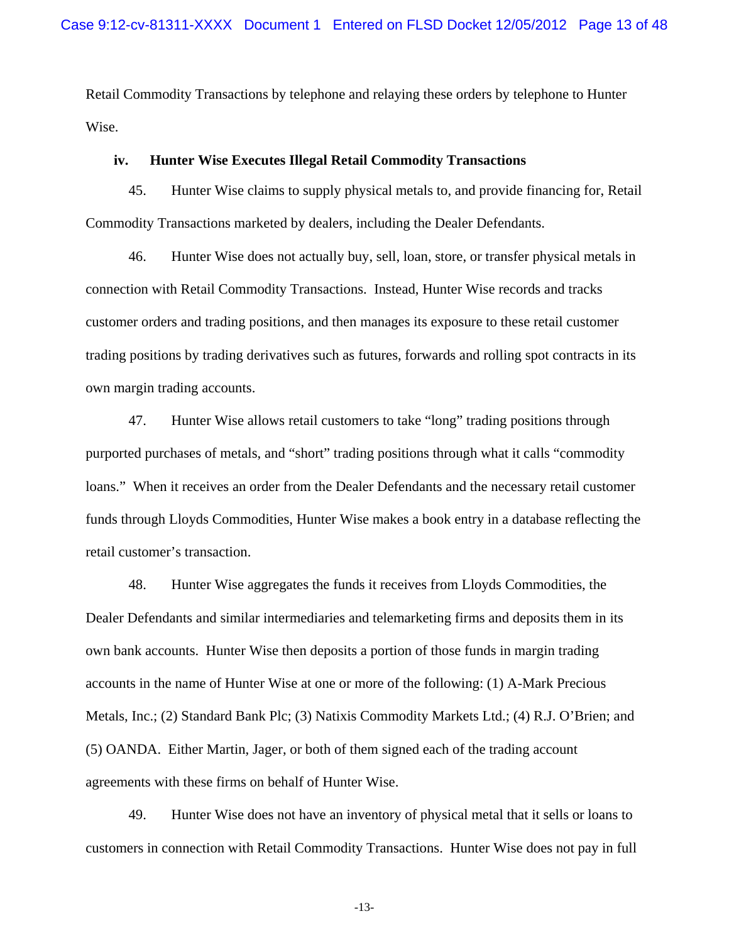Retail Commodity Transactions by telephone and relaying these orders by telephone to Hunter Wise.

## **iv. Hunter Wise Executes Illegal Retail Commodity Transactions**

45. Hunter Wise claims to supply physical metals to, and provide financing for, Retail Commodity Transactions marketed by dealers, including the Dealer Defendants.

46. Hunter Wise does not actually buy, sell, loan, store, or transfer physical metals in connection with Retail Commodity Transactions. Instead, Hunter Wise records and tracks customer orders and trading positions, and then manages its exposure to these retail customer trading positions by trading derivatives such as futures, forwards and rolling spot contracts in its own margin trading accounts.

47. Hunter Wise allows retail customers to take "long" trading positions through purported purchases of metals, and "short" trading positions through what it calls "commodity loans." When it receives an order from the Dealer Defendants and the necessary retail customer funds through Lloyds Commodities, Hunter Wise makes a book entry in a database reflecting the retail customer's transaction.

48. Hunter Wise aggregates the funds it receives from Lloyds Commodities, the Dealer Defendants and similar intermediaries and telemarketing firms and deposits them in its own bank accounts. Hunter Wise then deposits a portion of those funds in margin trading accounts in the name of Hunter Wise at one or more of the following: (1) A-Mark Precious Metals, Inc.; (2) Standard Bank Plc; (3) Natixis Commodity Markets Ltd.; (4) R.J. O'Brien; and (5) OANDA. Either Martin, Jager, or both of them signed each of the trading account agreements with these firms on behalf of Hunter Wise.

49. Hunter Wise does not have an inventory of physical metal that it sells or loans to customers in connection with Retail Commodity Transactions. Hunter Wise does not pay in full

-13-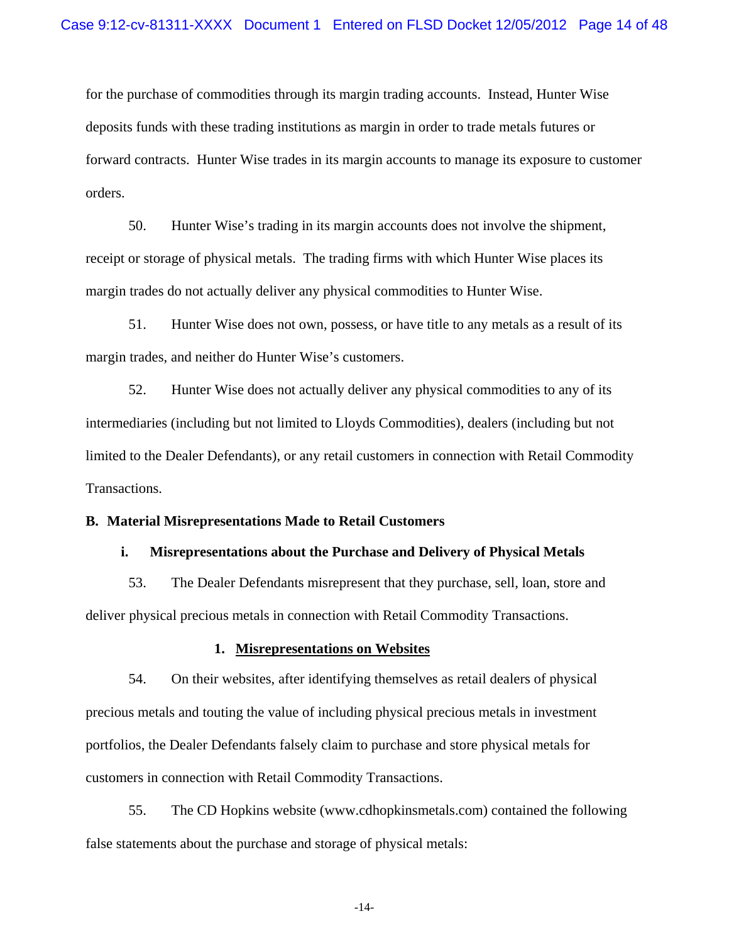for the purchase of commodities through its margin trading accounts. Instead, Hunter Wise deposits funds with these trading institutions as margin in order to trade metals futures or forward contracts. Hunter Wise trades in its margin accounts to manage its exposure to customer orders.

50. Hunter Wise's trading in its margin accounts does not involve the shipment, receipt or storage of physical metals. The trading firms with which Hunter Wise places its margin trades do not actually deliver any physical commodities to Hunter Wise.

51. Hunter Wise does not own, possess, or have title to any metals as a result of its margin trades, and neither do Hunter Wise's customers.

52. Hunter Wise does not actually deliver any physical commodities to any of its intermediaries (including but not limited to Lloyds Commodities), dealers (including but not limited to the Dealer Defendants), or any retail customers in connection with Retail Commodity Transactions.

### **B. Material Misrepresentations Made to Retail Customers**

### **i. Misrepresentations about the Purchase and Delivery of Physical Metals**

53. The Dealer Defendants misrepresent that they purchase, sell, loan, store and deliver physical precious metals in connection with Retail Commodity Transactions.

### **1. Misrepresentations on Websites**

54. On their websites, after identifying themselves as retail dealers of physical precious metals and touting the value of including physical precious metals in investment portfolios, the Dealer Defendants falsely claim to purchase and store physical metals for customers in connection with Retail Commodity Transactions.

55. The CD Hopkins website (www.cdhopkinsmetals.com) contained the following false statements about the purchase and storage of physical metals:

-14-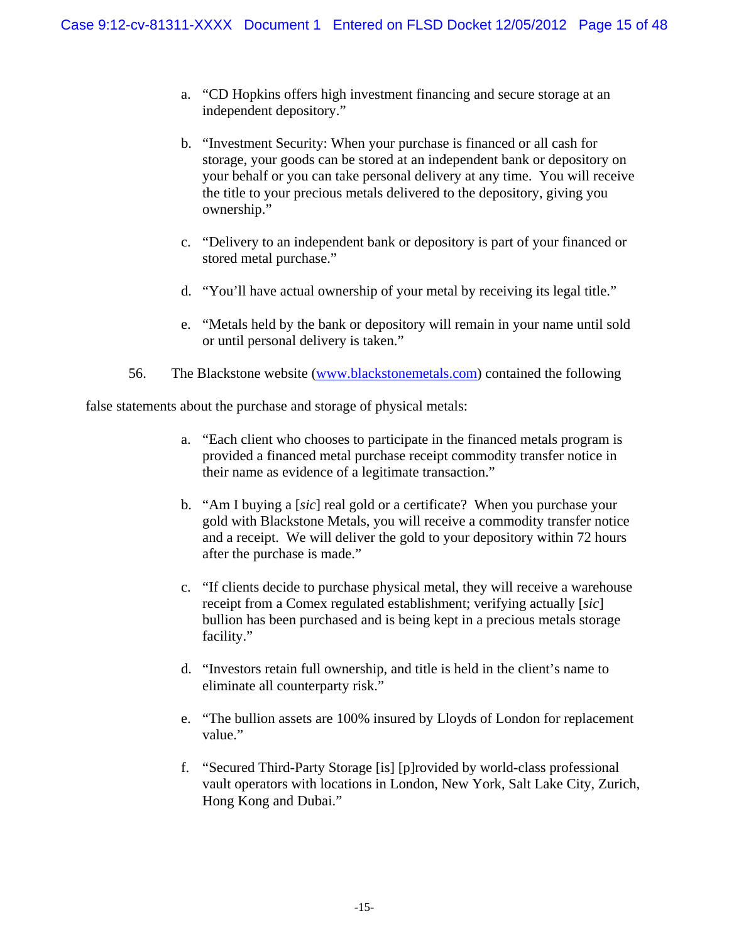- a. "CD Hopkins offers high investment financing and secure storage at an independent depository."
- b. "Investment Security: When your purchase is financed or all cash for storage, your goods can be stored at an independent bank or depository on your behalf or you can take personal delivery at any time. You will receive the title to your precious metals delivered to the depository, giving you ownership."
- c. "Delivery to an independent bank or depository is part of your financed or stored metal purchase."
- d. "You'll have actual ownership of your metal by receiving its legal title."
- e. "Metals held by the bank or depository will remain in your name until sold or until personal delivery is taken."
- 56. The Blackstone website (www.blackstonemetals.com) contained the following

false statements about the purchase and storage of physical metals:

- a. "Each client who chooses to participate in the financed metals program is provided a financed metal purchase receipt commodity transfer notice in their name as evidence of a legitimate transaction."
- b. "Am I buying a [*sic*] real gold or a certificate? When you purchase your gold with Blackstone Metals, you will receive a commodity transfer notice and a receipt. We will deliver the gold to your depository within 72 hours after the purchase is made."
- c. "If clients decide to purchase physical metal, they will receive a warehouse receipt from a Comex regulated establishment; verifying actually [*sic*] bullion has been purchased and is being kept in a precious metals storage facility."
- d. "Investors retain full ownership, and title is held in the client's name to eliminate all counterparty risk."
- e. "The bullion assets are 100% insured by Lloyds of London for replacement value."
- f. "Secured Third-Party Storage [is] [p]rovided by world-class professional vault operators with locations in London, New York, Salt Lake City, Zurich, Hong Kong and Dubai."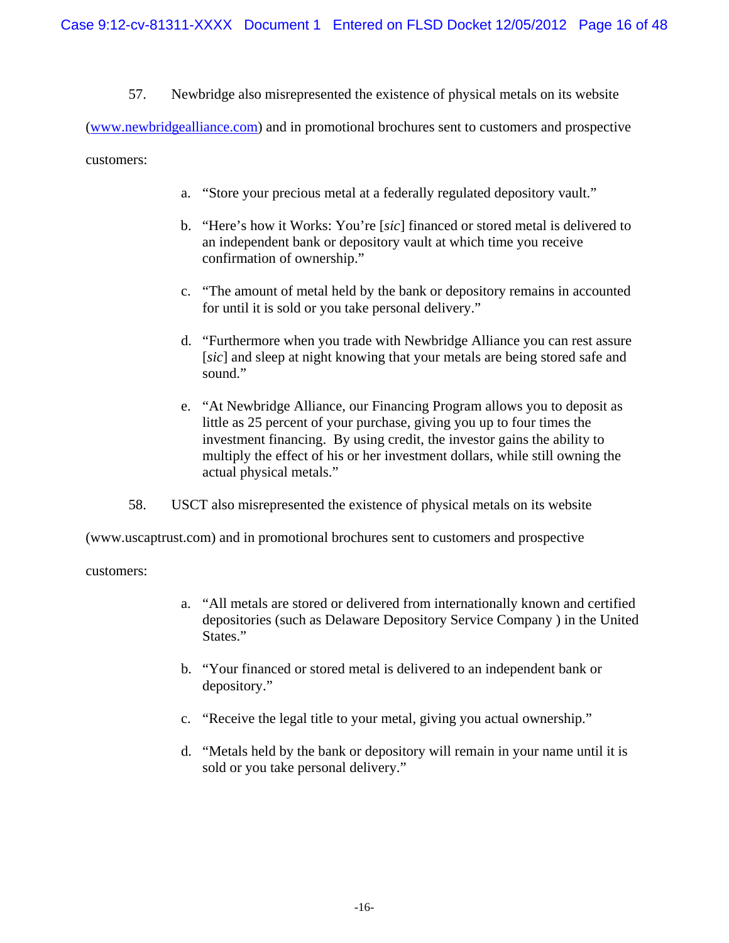57. Newbridge also misrepresented the existence of physical metals on its website

(www.newbridgealliance.com) and in promotional brochures sent to customers and prospective

customers:

- a. "Store your precious metal at a federally regulated depository vault."
- b. "Here's how it Works: You're [*sic*] financed or stored metal is delivered to an independent bank or depository vault at which time you receive confirmation of ownership."
- c. "The amount of metal held by the bank or depository remains in accounted for until it is sold or you take personal delivery."
- d. "Furthermore when you trade with Newbridge Alliance you can rest assure [*sic*] and sleep at night knowing that your metals are being stored safe and sound."
- e. "At Newbridge Alliance, our Financing Program allows you to deposit as little as 25 percent of your purchase, giving you up to four times the investment financing. By using credit, the investor gains the ability to multiply the effect of his or her investment dollars, while still owning the actual physical metals."
- 58. USCT also misrepresented the existence of physical metals on its website

(www.uscaptrust.com) and in promotional brochures sent to customers and prospective

customers:

- a. "All metals are stored or delivered from internationally known and certified depositories (such as Delaware Depository Service Company ) in the United States."
- b. "Your financed or stored metal is delivered to an independent bank or depository."
- c. "Receive the legal title to your metal, giving you actual ownership."
- d. "Metals held by the bank or depository will remain in your name until it is sold or you take personal delivery."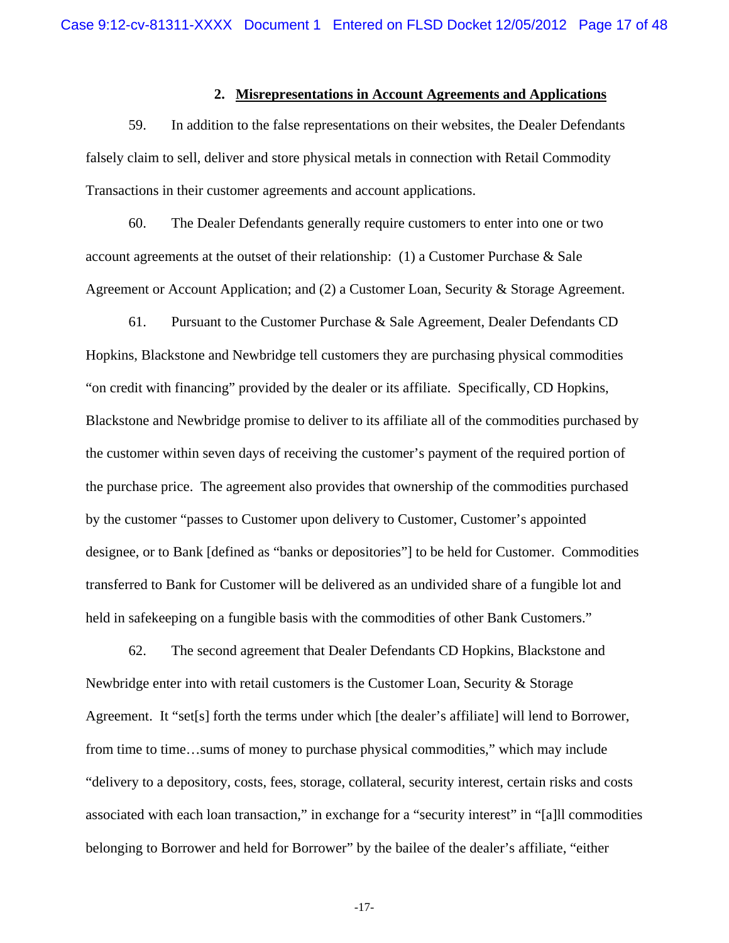### **2. Misrepresentations in Account Agreements and Applications**

59. In addition to the false representations on their websites, the Dealer Defendants falsely claim to sell, deliver and store physical metals in connection with Retail Commodity Transactions in their customer agreements and account applications.

60. The Dealer Defendants generally require customers to enter into one or two account agreements at the outset of their relationship: (1) a Customer Purchase & Sale Agreement or Account Application; and (2) a Customer Loan, Security & Storage Agreement.

61. Pursuant to the Customer Purchase & Sale Agreement, Dealer Defendants CD Hopkins, Blackstone and Newbridge tell customers they are purchasing physical commodities "on credit with financing" provided by the dealer or its affiliate. Specifically, CD Hopkins, Blackstone and Newbridge promise to deliver to its affiliate all of the commodities purchased by the customer within seven days of receiving the customer's payment of the required portion of the purchase price. The agreement also provides that ownership of the commodities purchased by the customer "passes to Customer upon delivery to Customer, Customer's appointed designee, or to Bank [defined as "banks or depositories"] to be held for Customer. Commodities transferred to Bank for Customer will be delivered as an undivided share of a fungible lot and held in safekeeping on a fungible basis with the commodities of other Bank Customers."

62. The second agreement that Dealer Defendants CD Hopkins, Blackstone and Newbridge enter into with retail customers is the Customer Loan, Security & Storage Agreement. It "set[s] forth the terms under which [the dealer's affiliate] will lend to Borrower, from time to time…sums of money to purchase physical commodities," which may include "delivery to a depository, costs, fees, storage, collateral, security interest, certain risks and costs associated with each loan transaction," in exchange for a "security interest" in "[a]ll commodities belonging to Borrower and held for Borrower" by the bailee of the dealer's affiliate, "either

-17-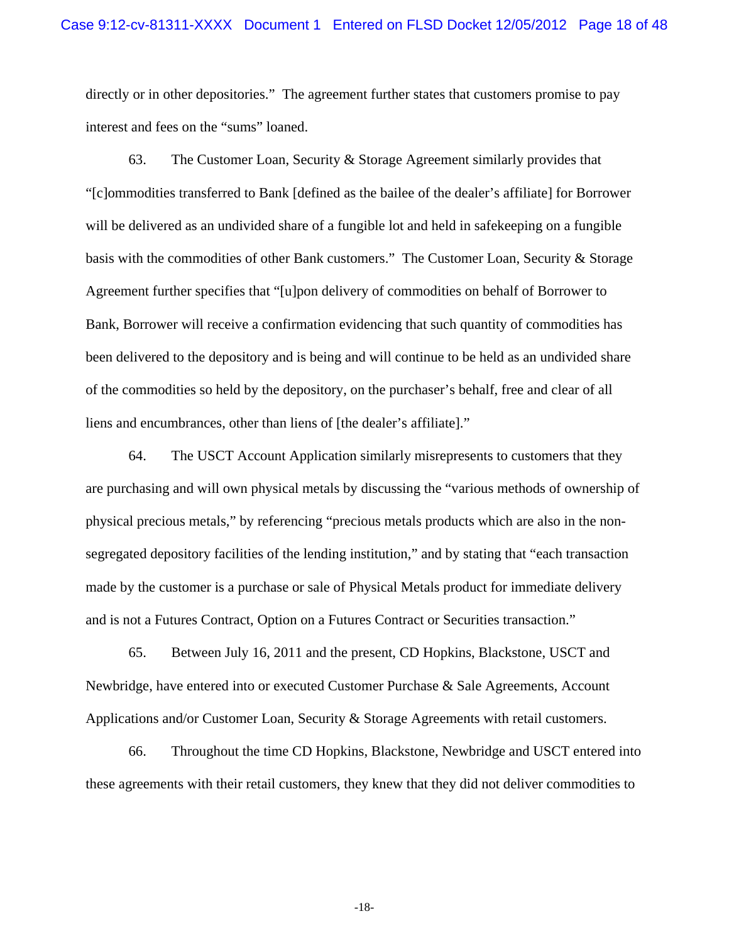directly or in other depositories." The agreement further states that customers promise to pay interest and fees on the "sums" loaned.

63. The Customer Loan, Security & Storage Agreement similarly provides that "[c]ommodities transferred to Bank [defined as the bailee of the dealer's affiliate] for Borrower will be delivered as an undivided share of a fungible lot and held in safekeeping on a fungible basis with the commodities of other Bank customers." The Customer Loan, Security & Storage Agreement further specifies that "[u]pon delivery of commodities on behalf of Borrower to Bank, Borrower will receive a confirmation evidencing that such quantity of commodities has been delivered to the depository and is being and will continue to be held as an undivided share of the commodities so held by the depository, on the purchaser's behalf, free and clear of all liens and encumbrances, other than liens of [the dealer's affiliate]."

64. The USCT Account Application similarly misrepresents to customers that they are purchasing and will own physical metals by discussing the "various methods of ownership of physical precious metals," by referencing "precious metals products which are also in the nonsegregated depository facilities of the lending institution," and by stating that "each transaction made by the customer is a purchase or sale of Physical Metals product for immediate delivery and is not a Futures Contract, Option on a Futures Contract or Securities transaction."

65. Between July 16, 2011 and the present, CD Hopkins, Blackstone, USCT and Newbridge, have entered into or executed Customer Purchase & Sale Agreements, Account Applications and/or Customer Loan, Security & Storage Agreements with retail customers.

66. Throughout the time CD Hopkins, Blackstone, Newbridge and USCT entered into these agreements with their retail customers, they knew that they did not deliver commodities to

-18-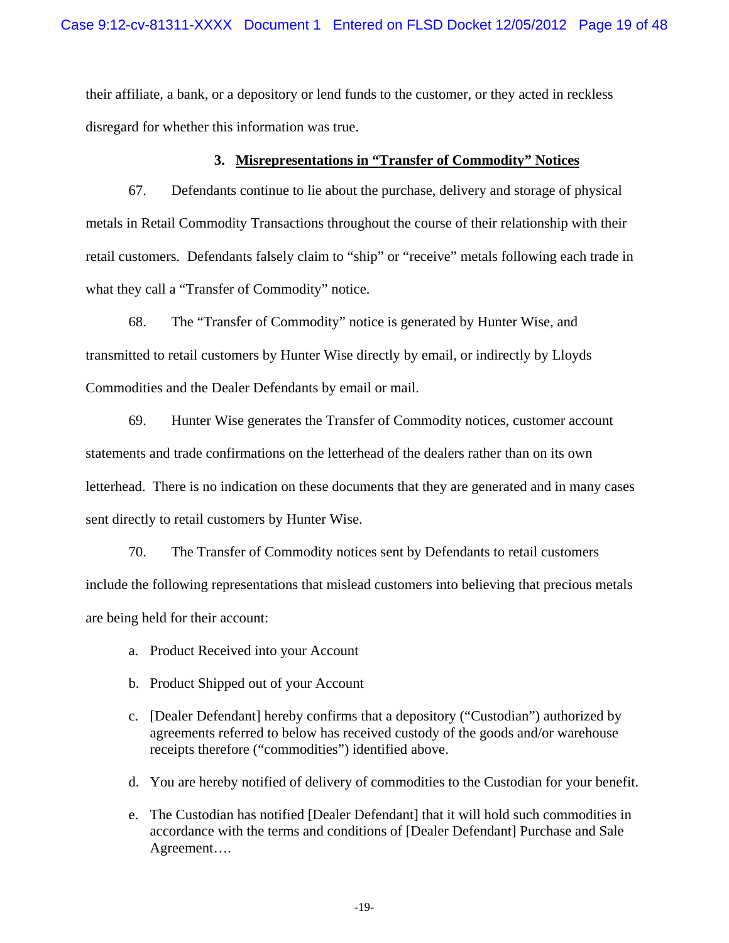their affiliate, a bank, or a depository or lend funds to the customer, or they acted in reckless disregard for whether this information was true.

# **3. Misrepresentations in "Transfer of Commodity" Notices**

67. Defendants continue to lie about the purchase, delivery and storage of physical metals in Retail Commodity Transactions throughout the course of their relationship with their retail customers. Defendants falsely claim to "ship" or "receive" metals following each trade in what they call a "Transfer of Commodity" notice.

68. The "Transfer of Commodity" notice is generated by Hunter Wise, and transmitted to retail customers by Hunter Wise directly by email, or indirectly by Lloyds Commodities and the Dealer Defendants by email or mail.

69. Hunter Wise generates the Transfer of Commodity notices, customer account statements and trade confirmations on the letterhead of the dealers rather than on its own letterhead. There is no indication on these documents that they are generated and in many cases sent directly to retail customers by Hunter Wise.

70. The Transfer of Commodity notices sent by Defendants to retail customers include the following representations that mislead customers into believing that precious metals are being held for their account:

- a. Product Received into your Account
- b. Product Shipped out of your Account
- c. [Dealer Defendant] hereby confirms that a depository ("Custodian") authorized by agreements referred to below has received custody of the goods and/or warehouse receipts therefore ("commodities") identified above.
- d. You are hereby notified of delivery of commodities to the Custodian for your benefit.
- e. The Custodian has notified [Dealer Defendant] that it will hold such commodities in accordance with the terms and conditions of [Dealer Defendant] Purchase and Sale Agreement….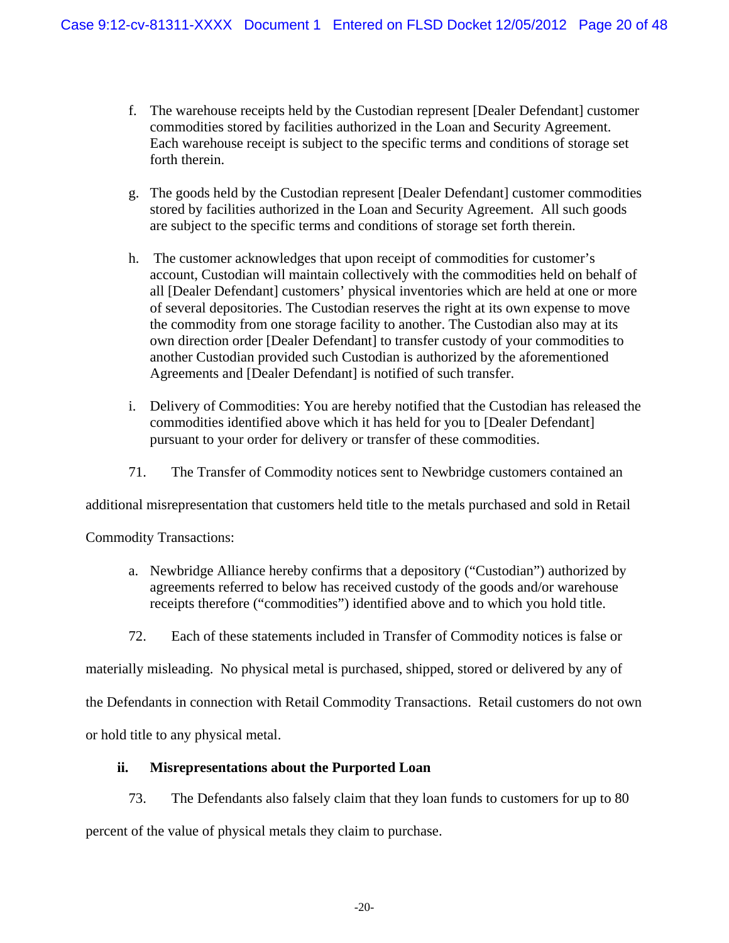- f. The warehouse receipts held by the Custodian represent [Dealer Defendant] customer commodities stored by facilities authorized in the Loan and Security Agreement. Each warehouse receipt is subject to the specific terms and conditions of storage set forth therein.
- g. The goods held by the Custodian represent [Dealer Defendant] customer commodities stored by facilities authorized in the Loan and Security Agreement. All such goods are subject to the specific terms and conditions of storage set forth therein.
- h. The customer acknowledges that upon receipt of commodities for customer's account, Custodian will maintain collectively with the commodities held on behalf of all [Dealer Defendant] customers' physical inventories which are held at one or more of several depositories. The Custodian reserves the right at its own expense to move the commodity from one storage facility to another. The Custodian also may at its own direction order [Dealer Defendant] to transfer custody of your commodities to another Custodian provided such Custodian is authorized by the aforementioned Agreements and [Dealer Defendant] is notified of such transfer.
- i. Delivery of Commodities: You are hereby notified that the Custodian has released the commodities identified above which it has held for you to [Dealer Defendant] pursuant to your order for delivery or transfer of these commodities.
- 71. The Transfer of Commodity notices sent to Newbridge customers contained an

additional misrepresentation that customers held title to the metals purchased and sold in Retail

Commodity Transactions:

- a. Newbridge Alliance hereby confirms that a depository ("Custodian") authorized by agreements referred to below has received custody of the goods and/or warehouse receipts therefore ("commodities") identified above and to which you hold title.
- 72. Each of these statements included in Transfer of Commodity notices is false or

materially misleading. No physical metal is purchased, shipped, stored or delivered by any of

the Defendants in connection with Retail Commodity Transactions. Retail customers do not own

or hold title to any physical metal.

# **ii. Misrepresentations about the Purported Loan**

73. The Defendants also falsely claim that they loan funds to customers for up to 80 percent of the value of physical metals they claim to purchase.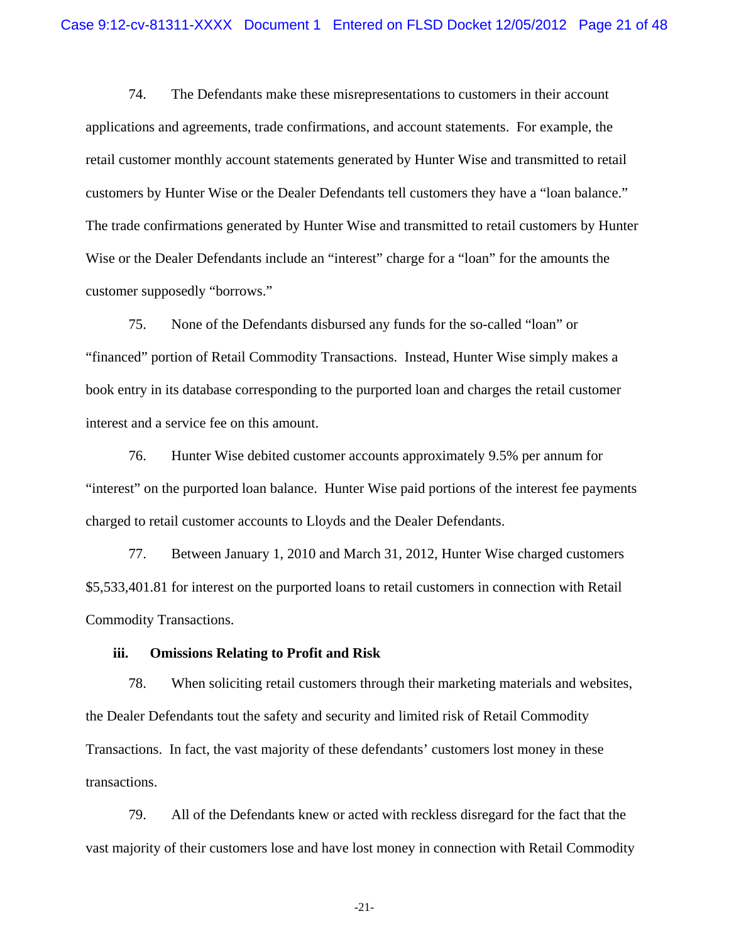74. The Defendants make these misrepresentations to customers in their account applications and agreements, trade confirmations, and account statements. For example, the retail customer monthly account statements generated by Hunter Wise and transmitted to retail customers by Hunter Wise or the Dealer Defendants tell customers they have a "loan balance." The trade confirmations generated by Hunter Wise and transmitted to retail customers by Hunter Wise or the Dealer Defendants include an "interest" charge for a "loan" for the amounts the customer supposedly "borrows."

75. None of the Defendants disbursed any funds for the so-called "loan" or "financed" portion of Retail Commodity Transactions. Instead, Hunter Wise simply makes a book entry in its database corresponding to the purported loan and charges the retail customer interest and a service fee on this amount.

76. Hunter Wise debited customer accounts approximately 9.5% per annum for "interest" on the purported loan balance. Hunter Wise paid portions of the interest fee payments charged to retail customer accounts to Lloyds and the Dealer Defendants.

77. Between January 1, 2010 and March 31, 2012, Hunter Wise charged customers \$5,533,401.81 for interest on the purported loans to retail customers in connection with Retail Commodity Transactions.

## **iii. Omissions Relating to Profit and Risk**

78. When soliciting retail customers through their marketing materials and websites, the Dealer Defendants tout the safety and security and limited risk of Retail Commodity Transactions. In fact, the vast majority of these defendants' customers lost money in these transactions.

79. All of the Defendants knew or acted with reckless disregard for the fact that the vast majority of their customers lose and have lost money in connection with Retail Commodity

-21-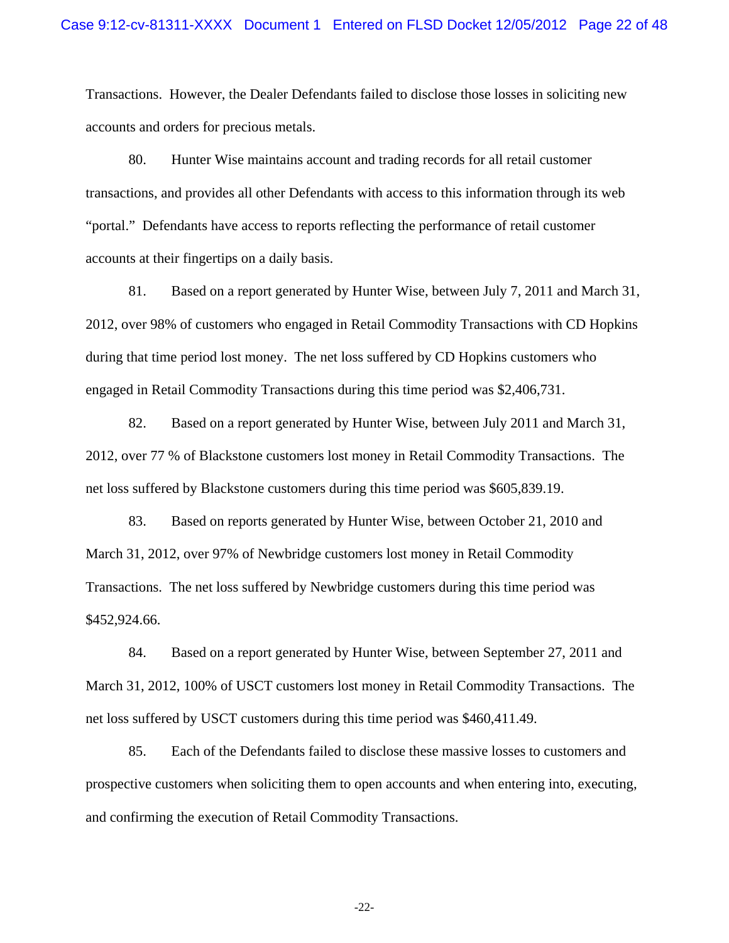Transactions. However, the Dealer Defendants failed to disclose those losses in soliciting new accounts and orders for precious metals.

80. Hunter Wise maintains account and trading records for all retail customer transactions, and provides all other Defendants with access to this information through its web "portal." Defendants have access to reports reflecting the performance of retail customer accounts at their fingertips on a daily basis.

81. Based on a report generated by Hunter Wise, between July 7, 2011 and March 31, 2012, over 98% of customers who engaged in Retail Commodity Transactions with CD Hopkins during that time period lost money. The net loss suffered by CD Hopkins customers who engaged in Retail Commodity Transactions during this time period was \$2,406,731.

82. Based on a report generated by Hunter Wise, between July 2011 and March 31, 2012, over 77 % of Blackstone customers lost money in Retail Commodity Transactions. The net loss suffered by Blackstone customers during this time period was \$605,839.19.

83. Based on reports generated by Hunter Wise, between October 21, 2010 and March 31, 2012, over 97% of Newbridge customers lost money in Retail Commodity Transactions. The net loss suffered by Newbridge customers during this time period was \$452,924.66.

84. Based on a report generated by Hunter Wise, between September 27, 2011 and March 31, 2012, 100% of USCT customers lost money in Retail Commodity Transactions. The net loss suffered by USCT customers during this time period was \$460,411.49.

85. Each of the Defendants failed to disclose these massive losses to customers and prospective customers when soliciting them to open accounts and when entering into, executing, and confirming the execution of Retail Commodity Transactions.

 $-22-$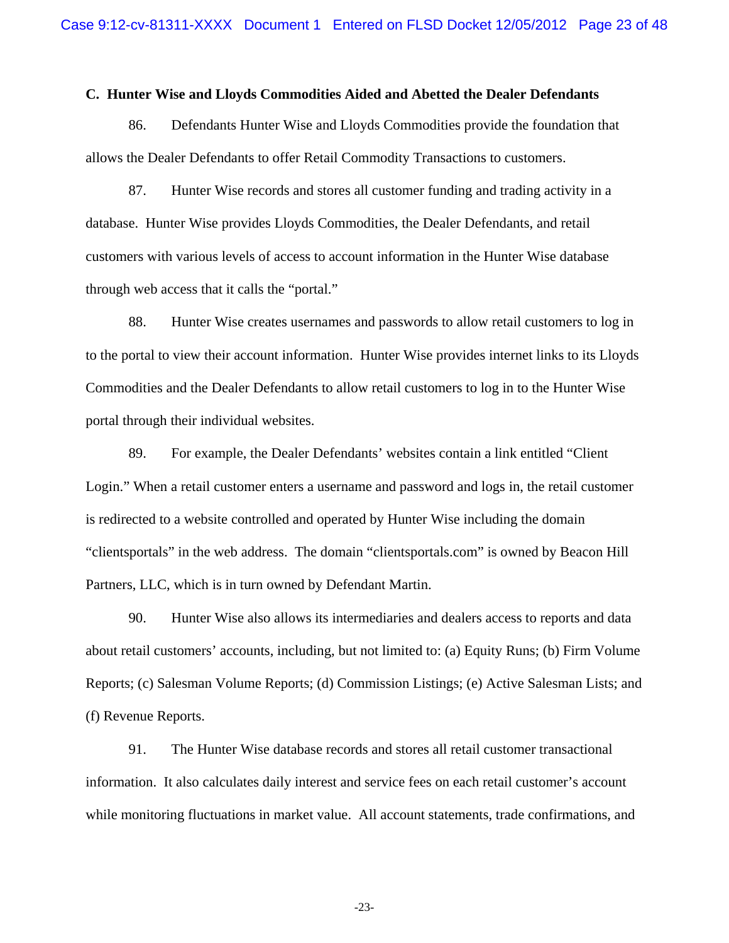### **C. Hunter Wise and Lloyds Commodities Aided and Abetted the Dealer Defendants**

86. Defendants Hunter Wise and Lloyds Commodities provide the foundation that allows the Dealer Defendants to offer Retail Commodity Transactions to customers.

87. Hunter Wise records and stores all customer funding and trading activity in a database. Hunter Wise provides Lloyds Commodities, the Dealer Defendants, and retail customers with various levels of access to account information in the Hunter Wise database through web access that it calls the "portal."

88. Hunter Wise creates usernames and passwords to allow retail customers to log in to the portal to view their account information. Hunter Wise provides internet links to its Lloyds Commodities and the Dealer Defendants to allow retail customers to log in to the Hunter Wise portal through their individual websites.

89. For example, the Dealer Defendants' websites contain a link entitled "Client Login." When a retail customer enters a username and password and logs in, the retail customer is redirected to a website controlled and operated by Hunter Wise including the domain "clientsportals" in the web address. The domain "clientsportals.com" is owned by Beacon Hill Partners, LLC, which is in turn owned by Defendant Martin.

90. Hunter Wise also allows its intermediaries and dealers access to reports and data about retail customers' accounts, including, but not limited to: (a) Equity Runs; (b) Firm Volume Reports; (c) Salesman Volume Reports; (d) Commission Listings; (e) Active Salesman Lists; and (f) Revenue Reports.

91. The Hunter Wise database records and stores all retail customer transactional information. It also calculates daily interest and service fees on each retail customer's account while monitoring fluctuations in market value. All account statements, trade confirmations, and

-23-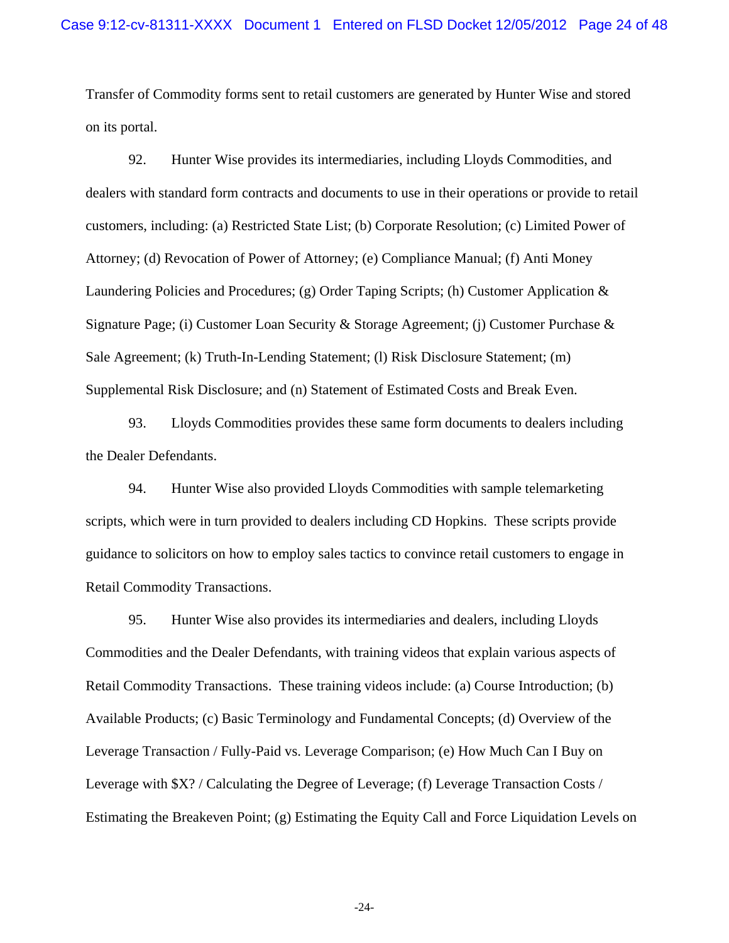Transfer of Commodity forms sent to retail customers are generated by Hunter Wise and stored on its portal.

92. Hunter Wise provides its intermediaries, including Lloyds Commodities, and dealers with standard form contracts and documents to use in their operations or provide to retail customers, including: (a) Restricted State List; (b) Corporate Resolution; (c) Limited Power of Attorney; (d) Revocation of Power of Attorney; (e) Compliance Manual; (f) Anti Money Laundering Policies and Procedures; (g) Order Taping Scripts; (h) Customer Application & Signature Page; (i) Customer Loan Security & Storage Agreement; (j) Customer Purchase & Sale Agreement; (k) Truth-In-Lending Statement; (l) Risk Disclosure Statement; (m) Supplemental Risk Disclosure; and (n) Statement of Estimated Costs and Break Even.

93. Lloyds Commodities provides these same form documents to dealers including the Dealer Defendants.

94. Hunter Wise also provided Lloyds Commodities with sample telemarketing scripts, which were in turn provided to dealers including CD Hopkins. These scripts provide guidance to solicitors on how to employ sales tactics to convince retail customers to engage in Retail Commodity Transactions.

95. Hunter Wise also provides its intermediaries and dealers, including Lloyds Commodities and the Dealer Defendants, with training videos that explain various aspects of Retail Commodity Transactions. These training videos include: (a) Course Introduction; (b) Available Products; (c) Basic Terminology and Fundamental Concepts; (d) Overview of the Leverage Transaction / Fully-Paid vs. Leverage Comparison; (e) How Much Can I Buy on Leverage with \$X? / Calculating the Degree of Leverage; (f) Leverage Transaction Costs / Estimating the Breakeven Point; (g) Estimating the Equity Call and Force Liquidation Levels on

-24-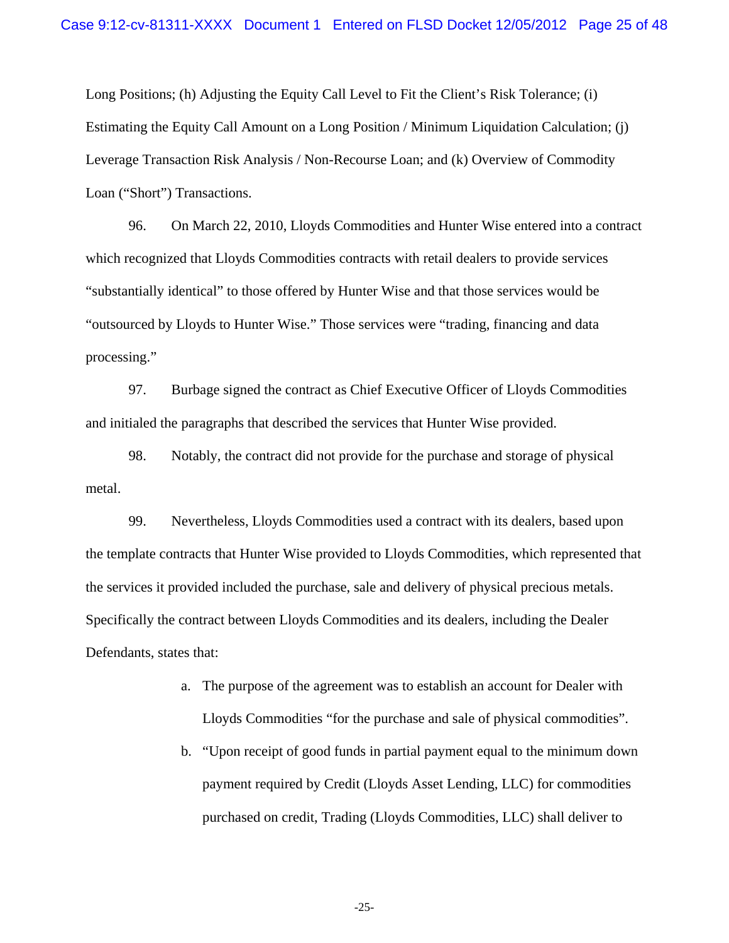Long Positions; (h) Adjusting the Equity Call Level to Fit the Client's Risk Tolerance; (i) Estimating the Equity Call Amount on a Long Position / Minimum Liquidation Calculation; (j) Leverage Transaction Risk Analysis / Non-Recourse Loan; and (k) Overview of Commodity Loan ("Short") Transactions.

96. On March 22, 2010, Lloyds Commodities and Hunter Wise entered into a contract which recognized that Lloyds Commodities contracts with retail dealers to provide services "substantially identical" to those offered by Hunter Wise and that those services would be "outsourced by Lloyds to Hunter Wise." Those services were "trading, financing and data processing."

97. Burbage signed the contract as Chief Executive Officer of Lloyds Commodities and initialed the paragraphs that described the services that Hunter Wise provided.

98. Notably, the contract did not provide for the purchase and storage of physical metal.

99. Nevertheless, Lloyds Commodities used a contract with its dealers, based upon the template contracts that Hunter Wise provided to Lloyds Commodities, which represented that the services it provided included the purchase, sale and delivery of physical precious metals. Specifically the contract between Lloyds Commodities and its dealers, including the Dealer Defendants, states that:

- a. The purpose of the agreement was to establish an account for Dealer with Lloyds Commodities "for the purchase and sale of physical commodities".
- b. "Upon receipt of good funds in partial payment equal to the minimum down payment required by Credit (Lloyds Asset Lending, LLC) for commodities purchased on credit, Trading (Lloyds Commodities, LLC) shall deliver to

-25-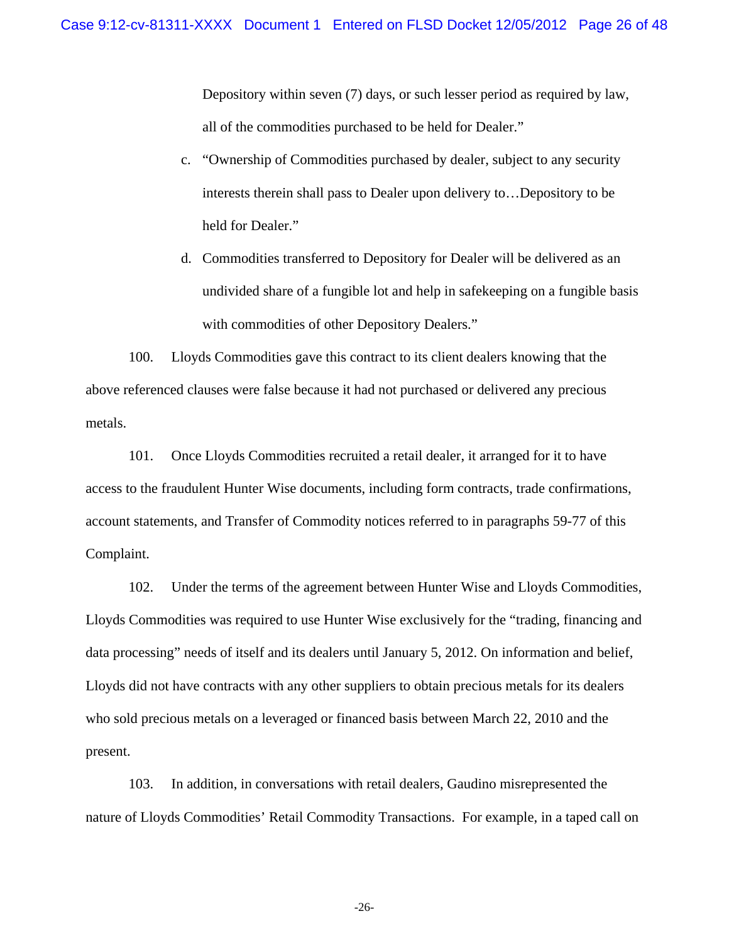Depository within seven (7) days, or such lesser period as required by law, all of the commodities purchased to be held for Dealer."

- c. "Ownership of Commodities purchased by dealer, subject to any security interests therein shall pass to Dealer upon delivery to…Depository to be held for Dealer."
- d. Commodities transferred to Depository for Dealer will be delivered as an undivided share of a fungible lot and help in safekeeping on a fungible basis with commodities of other Depository Dealers."

100. Lloyds Commodities gave this contract to its client dealers knowing that the above referenced clauses were false because it had not purchased or delivered any precious metals.

101. Once Lloyds Commodities recruited a retail dealer, it arranged for it to have access to the fraudulent Hunter Wise documents, including form contracts, trade confirmations, account statements, and Transfer of Commodity notices referred to in paragraphs 59-77 of this Complaint.

102. Under the terms of the agreement between Hunter Wise and Lloyds Commodities, Lloyds Commodities was required to use Hunter Wise exclusively for the "trading, financing and data processing" needs of itself and its dealers until January 5, 2012. On information and belief, Lloyds did not have contracts with any other suppliers to obtain precious metals for its dealers who sold precious metals on a leveraged or financed basis between March 22, 2010 and the present.

103. In addition, in conversations with retail dealers, Gaudino misrepresented the nature of Lloyds Commodities' Retail Commodity Transactions. For example, in a taped call on

-26-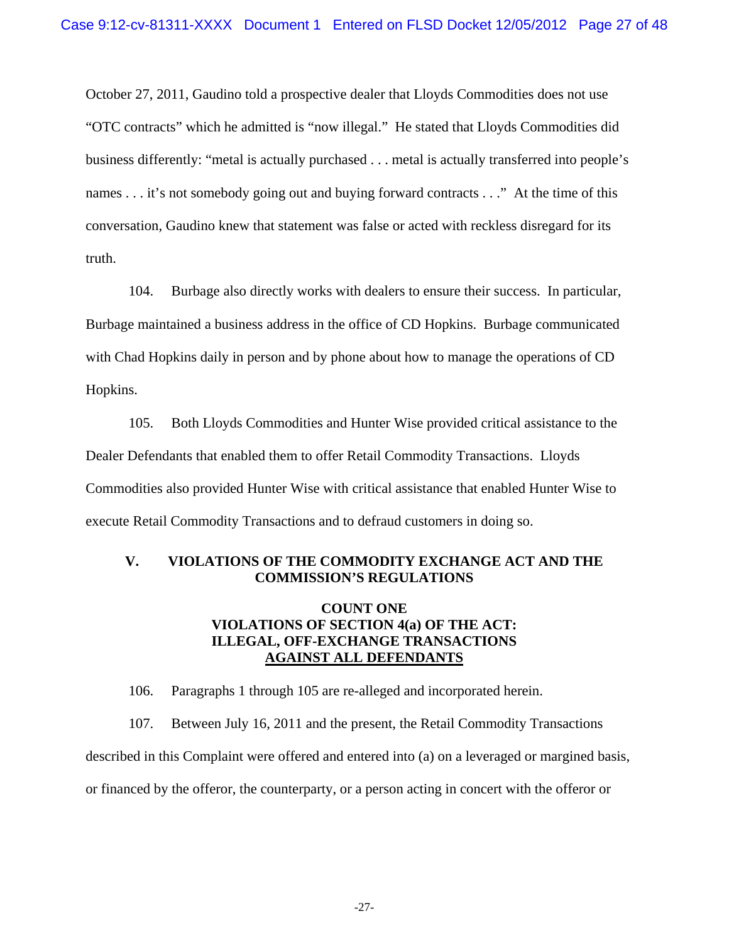October 27, 2011, Gaudino told a prospective dealer that Lloyds Commodities does not use "OTC contracts" which he admitted is "now illegal." He stated that Lloyds Commodities did business differently: "metal is actually purchased . . . metal is actually transferred into people's names . . . it's not somebody going out and buying forward contracts . . ." At the time of this conversation, Gaudino knew that statement was false or acted with reckless disregard for its truth.

104. Burbage also directly works with dealers to ensure their success. In particular, Burbage maintained a business address in the office of CD Hopkins. Burbage communicated with Chad Hopkins daily in person and by phone about how to manage the operations of CD Hopkins.

105. Both Lloyds Commodities and Hunter Wise provided critical assistance to the Dealer Defendants that enabled them to offer Retail Commodity Transactions. Lloyds Commodities also provided Hunter Wise with critical assistance that enabled Hunter Wise to execute Retail Commodity Transactions and to defraud customers in doing so.

# **V. VIOLATIONS OF THE COMMODITY EXCHANGE ACT AND THE COMMISSION'S REGULATIONS**

# **COUNT ONE VIOLATIONS OF SECTION 4(a) OF THE ACT: ILLEGAL, OFF-EXCHANGE TRANSACTIONS AGAINST ALL DEFENDANTS**

106. Paragraphs 1 through 105 are re-alleged and incorporated herein.

107. Between July 16, 2011 and the present, the Retail Commodity Transactions described in this Complaint were offered and entered into (a) on a leveraged or margined basis, or financed by the offeror, the counterparty, or a person acting in concert with the offeror or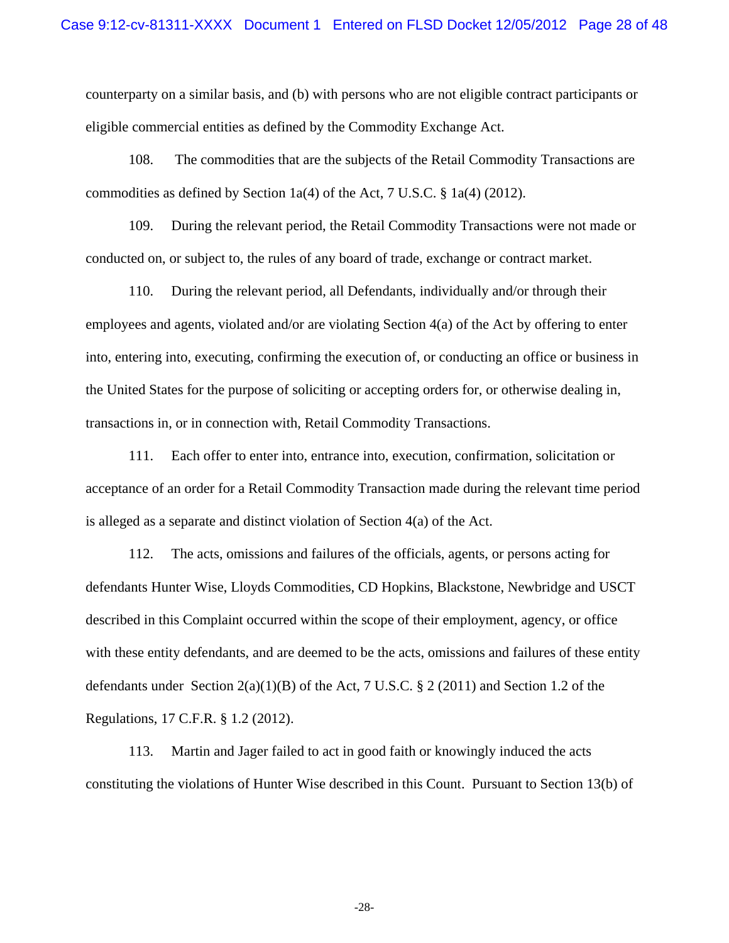counterparty on a similar basis, and (b) with persons who are not eligible contract participants or eligible commercial entities as defined by the Commodity Exchange Act.

108. The commodities that are the subjects of the Retail Commodity Transactions are commodities as defined by Section 1a(4) of the Act, 7 U.S.C. § 1a(4) (2012).

109. During the relevant period, the Retail Commodity Transactions were not made or conducted on, or subject to, the rules of any board of trade, exchange or contract market.

110. During the relevant period, all Defendants, individually and/or through their employees and agents, violated and/or are violating Section 4(a) of the Act by offering to enter into, entering into, executing, confirming the execution of, or conducting an office or business in the United States for the purpose of soliciting or accepting orders for, or otherwise dealing in, transactions in, or in connection with, Retail Commodity Transactions.

111. Each offer to enter into, entrance into, execution, confirmation, solicitation or acceptance of an order for a Retail Commodity Transaction made during the relevant time period is alleged as a separate and distinct violation of Section 4(a) of the Act.

112. The acts, omissions and failures of the officials, agents, or persons acting for defendants Hunter Wise, Lloyds Commodities, CD Hopkins, Blackstone, Newbridge and USCT described in this Complaint occurred within the scope of their employment, agency, or office with these entity defendants, and are deemed to be the acts, omissions and failures of these entity defendants under Section 2(a)(1)(B) of the Act, 7 U.S.C. § 2 (2011) and Section 1.2 of the Regulations, 17 C.F.R. § 1.2 (2012).

113. Martin and Jager failed to act in good faith or knowingly induced the acts constituting the violations of Hunter Wise described in this Count. Pursuant to Section 13(b) of

-28-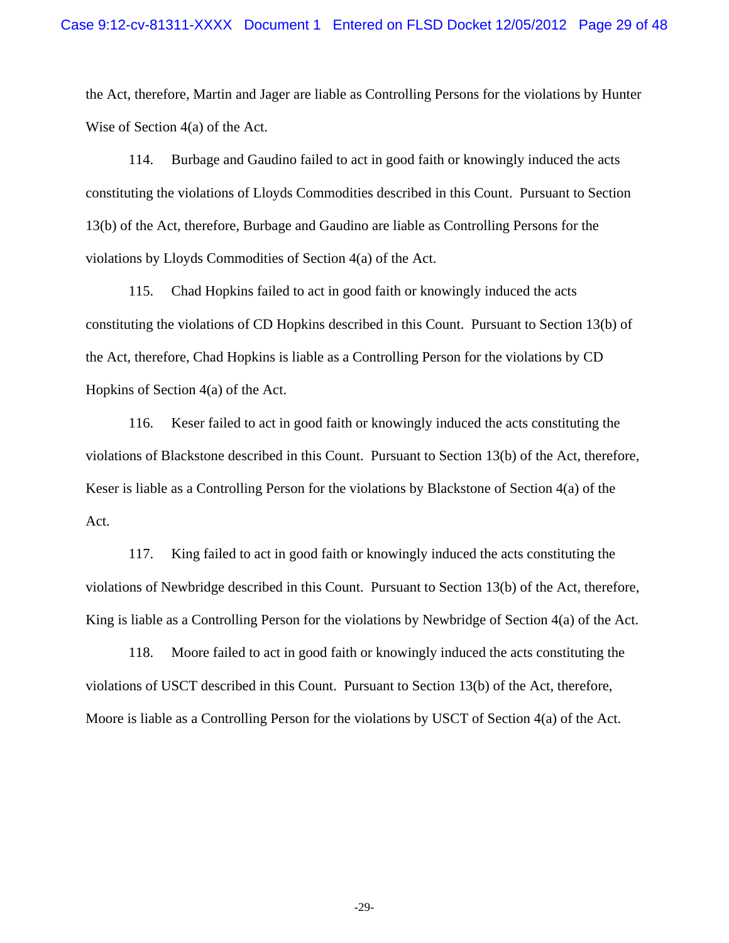the Act, therefore, Martin and Jager are liable as Controlling Persons for the violations by Hunter Wise of Section 4(a) of the Act.

114. Burbage and Gaudino failed to act in good faith or knowingly induced the acts constituting the violations of Lloyds Commodities described in this Count. Pursuant to Section 13(b) of the Act, therefore, Burbage and Gaudino are liable as Controlling Persons for the violations by Lloyds Commodities of Section 4(a) of the Act.

115. Chad Hopkins failed to act in good faith or knowingly induced the acts constituting the violations of CD Hopkins described in this Count. Pursuant to Section 13(b) of the Act, therefore, Chad Hopkins is liable as a Controlling Person for the violations by CD Hopkins of Section 4(a) of the Act.

116. Keser failed to act in good faith or knowingly induced the acts constituting the violations of Blackstone described in this Count. Pursuant to Section 13(b) of the Act, therefore, Keser is liable as a Controlling Person for the violations by Blackstone of Section 4(a) of the Act.

117. King failed to act in good faith or knowingly induced the acts constituting the violations of Newbridge described in this Count. Pursuant to Section 13(b) of the Act, therefore, King is liable as a Controlling Person for the violations by Newbridge of Section 4(a) of the Act.

118. Moore failed to act in good faith or knowingly induced the acts constituting the violations of USCT described in this Count. Pursuant to Section 13(b) of the Act, therefore, Moore is liable as a Controlling Person for the violations by USCT of Section 4(a) of the Act.

-29-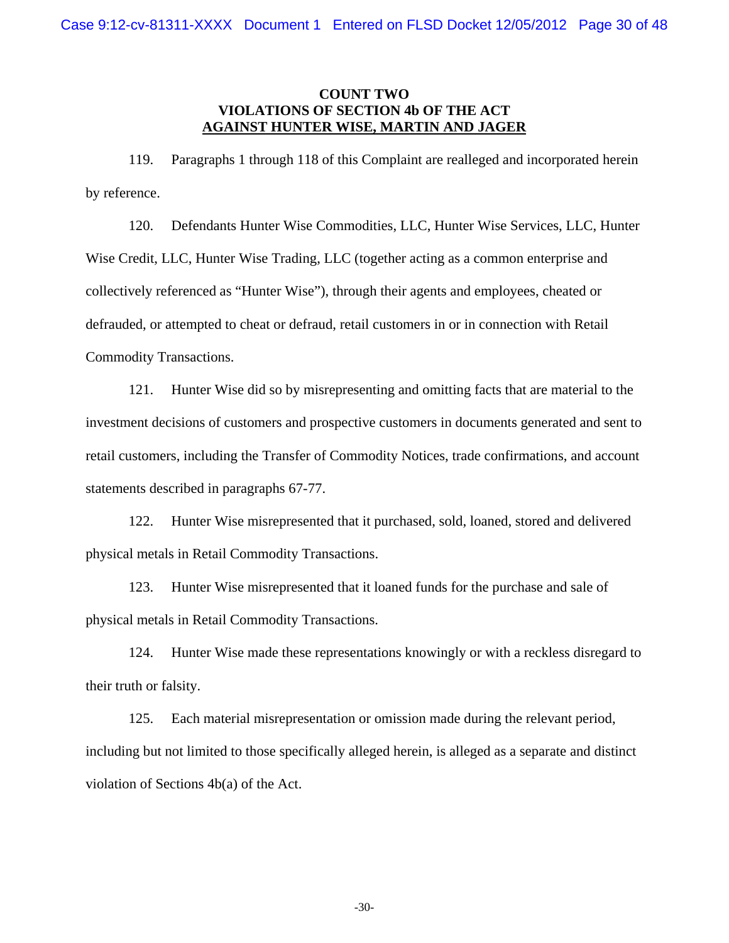## **COUNT TWO VIOLATIONS OF SECTION 4b OF THE ACT AGAINST HUNTER WISE, MARTIN AND JAGER**

119. Paragraphs 1 through 118 of this Complaint are realleged and incorporated herein by reference.

120. Defendants Hunter Wise Commodities, LLC, Hunter Wise Services, LLC, Hunter Wise Credit, LLC, Hunter Wise Trading, LLC (together acting as a common enterprise and collectively referenced as "Hunter Wise"), through their agents and employees, cheated or defrauded, or attempted to cheat or defraud, retail customers in or in connection with Retail Commodity Transactions.

121. Hunter Wise did so by misrepresenting and omitting facts that are material to the investment decisions of customers and prospective customers in documents generated and sent to retail customers, including the Transfer of Commodity Notices, trade confirmations, and account statements described in paragraphs 67-77.

122. Hunter Wise misrepresented that it purchased, sold, loaned, stored and delivered physical metals in Retail Commodity Transactions.

123. Hunter Wise misrepresented that it loaned funds for the purchase and sale of physical metals in Retail Commodity Transactions.

124. Hunter Wise made these representations knowingly or with a reckless disregard to their truth or falsity.

125. Each material misrepresentation or omission made during the relevant period, including but not limited to those specifically alleged herein, is alleged as a separate and distinct violation of Sections 4b(a) of the Act.

-30-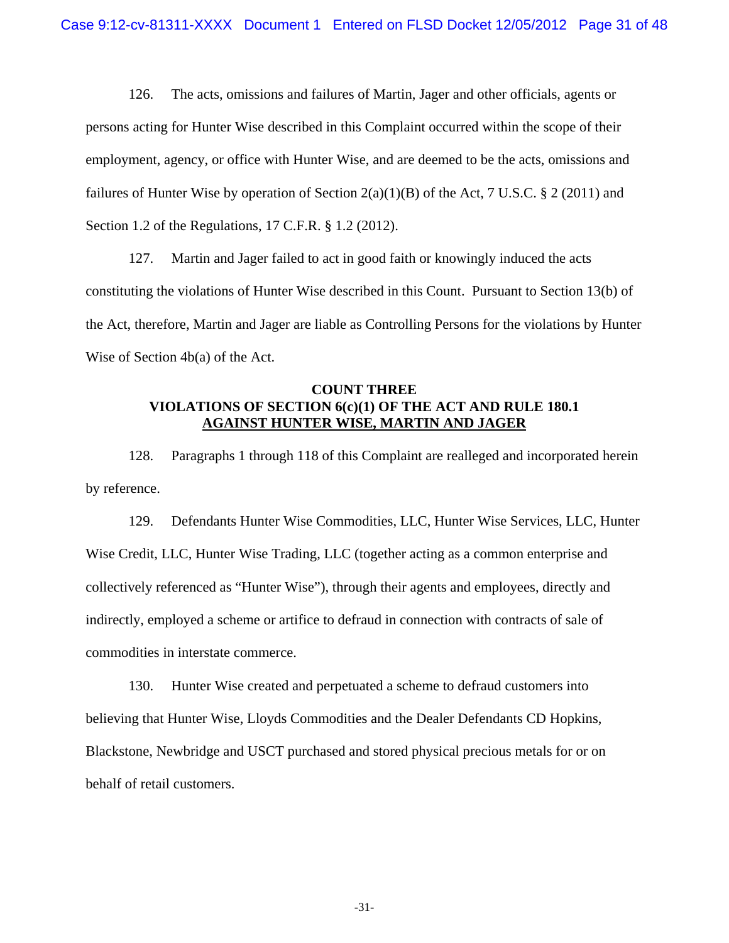126. The acts, omissions and failures of Martin, Jager and other officials, agents or persons acting for Hunter Wise described in this Complaint occurred within the scope of their employment, agency, or office with Hunter Wise, and are deemed to be the acts, omissions and failures of Hunter Wise by operation of Section  $2(a)(1)(B)$  of the Act, 7 U.S.C. § 2 (2011) and Section 1.2 of the Regulations, 17 C.F.R. § 1.2 (2012).

127. Martin and Jager failed to act in good faith or knowingly induced the acts constituting the violations of Hunter Wise described in this Count. Pursuant to Section 13(b) of the Act, therefore, Martin and Jager are liable as Controlling Persons for the violations by Hunter Wise of Section 4b(a) of the Act.

# **COUNT THREE VIOLATIONS OF SECTION 6(c)(1) OF THE ACT AND RULE 180.1 AGAINST HUNTER WISE, MARTIN AND JAGER**

128. Paragraphs 1 through 118 of this Complaint are realleged and incorporated herein by reference.

129. Defendants Hunter Wise Commodities, LLC, Hunter Wise Services, LLC, Hunter Wise Credit, LLC, Hunter Wise Trading, LLC (together acting as a common enterprise and collectively referenced as "Hunter Wise"), through their agents and employees, directly and indirectly, employed a scheme or artifice to defraud in connection with contracts of sale of commodities in interstate commerce.

130. Hunter Wise created and perpetuated a scheme to defraud customers into believing that Hunter Wise, Lloyds Commodities and the Dealer Defendants CD Hopkins, Blackstone, Newbridge and USCT purchased and stored physical precious metals for or on behalf of retail customers.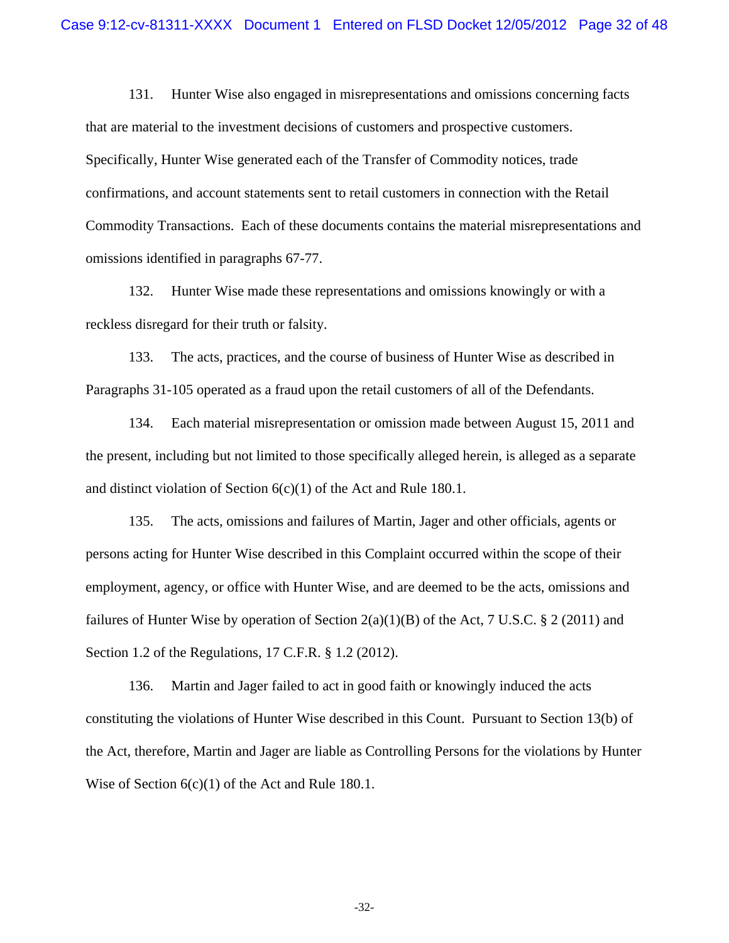131. Hunter Wise also engaged in misrepresentations and omissions concerning facts that are material to the investment decisions of customers and prospective customers. Specifically, Hunter Wise generated each of the Transfer of Commodity notices, trade confirmations, and account statements sent to retail customers in connection with the Retail Commodity Transactions. Each of these documents contains the material misrepresentations and omissions identified in paragraphs 67-77.

132. Hunter Wise made these representations and omissions knowingly or with a reckless disregard for their truth or falsity.

133. The acts, practices, and the course of business of Hunter Wise as described in Paragraphs 31-105 operated as a fraud upon the retail customers of all of the Defendants.

134. Each material misrepresentation or omission made between August 15, 2011 and the present, including but not limited to those specifically alleged herein, is alleged as a separate and distinct violation of Section 6(c)(1) of the Act and Rule 180.1.

135. The acts, omissions and failures of Martin, Jager and other officials, agents or persons acting for Hunter Wise described in this Complaint occurred within the scope of their employment, agency, or office with Hunter Wise, and are deemed to be the acts, omissions and failures of Hunter Wise by operation of Section  $2(a)(1)(B)$  of the Act, 7 U.S.C. § 2 (2011) and Section 1.2 of the Regulations, 17 C.F.R. § 1.2 (2012).

136. Martin and Jager failed to act in good faith or knowingly induced the acts constituting the violations of Hunter Wise described in this Count. Pursuant to Section 13(b) of the Act, therefore, Martin and Jager are liable as Controlling Persons for the violations by Hunter Wise of Section  $6(c)(1)$  of the Act and Rule 180.1.

-32-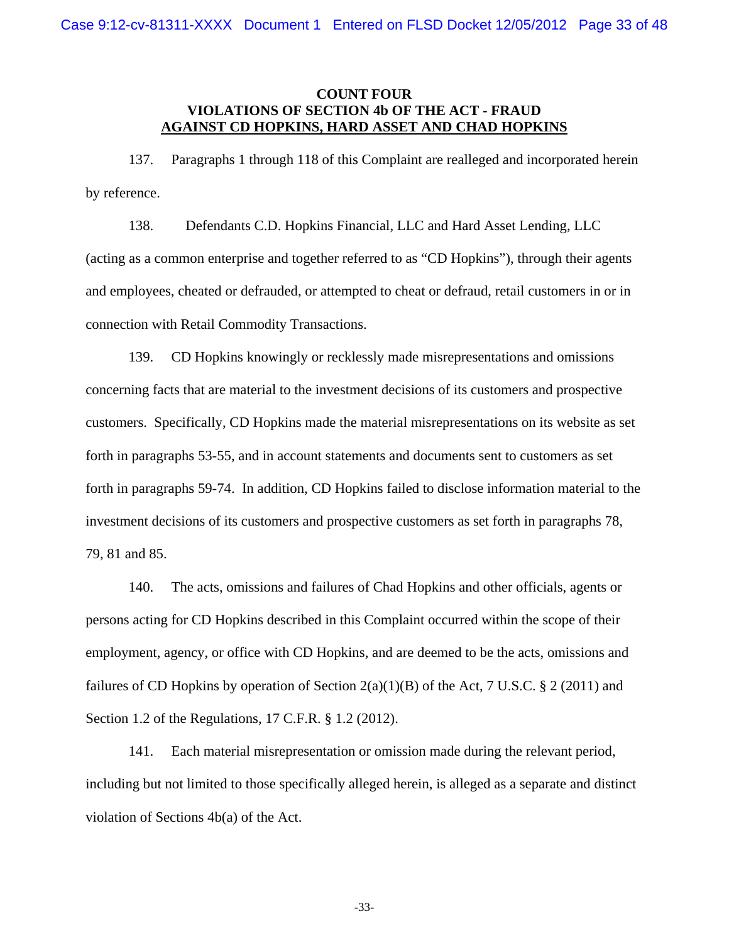## **COUNT FOUR VIOLATIONS OF SECTION 4b OF THE ACT - FRAUD AGAINST CD HOPKINS, HARD ASSET AND CHAD HOPKINS**

137. Paragraphs 1 through 118 of this Complaint are realleged and incorporated herein by reference.

138. Defendants C.D. Hopkins Financial, LLC and Hard Asset Lending, LLC (acting as a common enterprise and together referred to as "CD Hopkins"), through their agents and employees, cheated or defrauded, or attempted to cheat or defraud, retail customers in or in connection with Retail Commodity Transactions.

139. CD Hopkins knowingly or recklessly made misrepresentations and omissions concerning facts that are material to the investment decisions of its customers and prospective customers. Specifically, CD Hopkins made the material misrepresentations on its website as set forth in paragraphs 53-55, and in account statements and documents sent to customers as set forth in paragraphs 59-74. In addition, CD Hopkins failed to disclose information material to the investment decisions of its customers and prospective customers as set forth in paragraphs 78, 79, 81 and 85.

140. The acts, omissions and failures of Chad Hopkins and other officials, agents or persons acting for CD Hopkins described in this Complaint occurred within the scope of their employment, agency, or office with CD Hopkins, and are deemed to be the acts, omissions and failures of CD Hopkins by operation of Section  $2(a)(1)(B)$  of the Act, 7 U.S.C. § 2 (2011) and Section 1.2 of the Regulations, 17 C.F.R. § 1.2 (2012).

141. Each material misrepresentation or omission made during the relevant period, including but not limited to those specifically alleged herein, is alleged as a separate and distinct violation of Sections 4b(a) of the Act.

-33-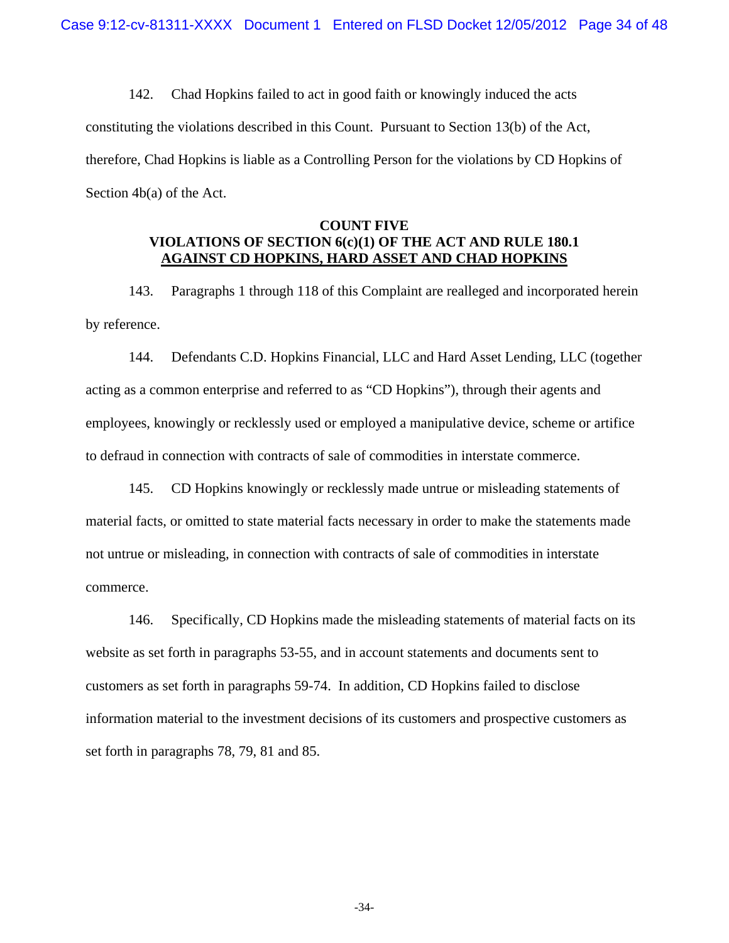142. Chad Hopkins failed to act in good faith or knowingly induced the acts constituting the violations described in this Count. Pursuant to Section 13(b) of the Act, therefore, Chad Hopkins is liable as a Controlling Person for the violations by CD Hopkins of Section 4b(a) of the Act.

# **COUNT FIVE VIOLATIONS OF SECTION 6(c)(1) OF THE ACT AND RULE 180.1 AGAINST CD HOPKINS, HARD ASSET AND CHAD HOPKINS**

143. Paragraphs 1 through 118 of this Complaint are realleged and incorporated herein by reference.

144. Defendants C.D. Hopkins Financial, LLC and Hard Asset Lending, LLC (together acting as a common enterprise and referred to as "CD Hopkins"), through their agents and employees, knowingly or recklessly used or employed a manipulative device, scheme or artifice to defraud in connection with contracts of sale of commodities in interstate commerce.

145. CD Hopkins knowingly or recklessly made untrue or misleading statements of material facts, or omitted to state material facts necessary in order to make the statements made not untrue or misleading, in connection with contracts of sale of commodities in interstate commerce.

146. Specifically, CD Hopkins made the misleading statements of material facts on its website as set forth in paragraphs 53-55, and in account statements and documents sent to customers as set forth in paragraphs 59-74. In addition, CD Hopkins failed to disclose information material to the investment decisions of its customers and prospective customers as set forth in paragraphs 78, 79, 81 and 85.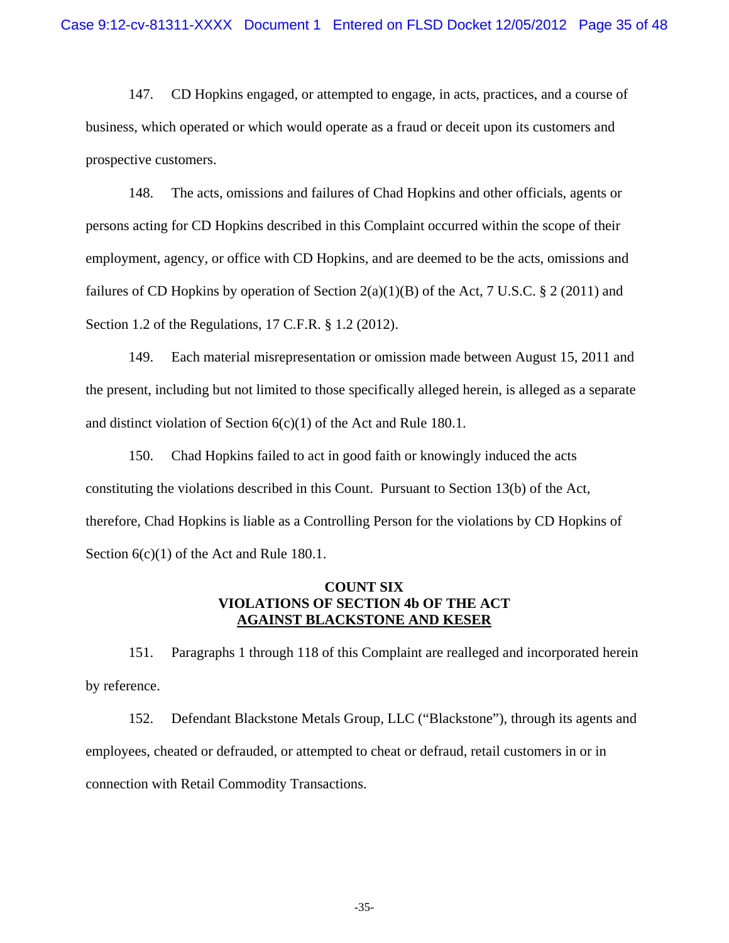147. CD Hopkins engaged, or attempted to engage, in acts, practices, and a course of business, which operated or which would operate as a fraud or deceit upon its customers and prospective customers.

148. The acts, omissions and failures of Chad Hopkins and other officials, agents or persons acting for CD Hopkins described in this Complaint occurred within the scope of their employment, agency, or office with CD Hopkins, and are deemed to be the acts, omissions and failures of CD Hopkins by operation of Section  $2(a)(1)(B)$  of the Act, 7 U.S.C. § 2 (2011) and Section 1.2 of the Regulations, 17 C.F.R. § 1.2 (2012).

149. Each material misrepresentation or omission made between August 15, 2011 and the present, including but not limited to those specifically alleged herein, is alleged as a separate and distinct violation of Section 6(c)(1) of the Act and Rule 180.1.

150. Chad Hopkins failed to act in good faith or knowingly induced the acts constituting the violations described in this Count. Pursuant to Section 13(b) of the Act, therefore, Chad Hopkins is liable as a Controlling Person for the violations by CD Hopkins of Section  $6(c)(1)$  of the Act and Rule 180.1.

# **COUNT SIX VIOLATIONS OF SECTION 4b OF THE ACT AGAINST BLACKSTONE AND KESER**

151. Paragraphs 1 through 118 of this Complaint are realleged and incorporated herein by reference.

152. Defendant Blackstone Metals Group, LLC ("Blackstone"), through its agents and employees, cheated or defrauded, or attempted to cheat or defraud, retail customers in or in connection with Retail Commodity Transactions.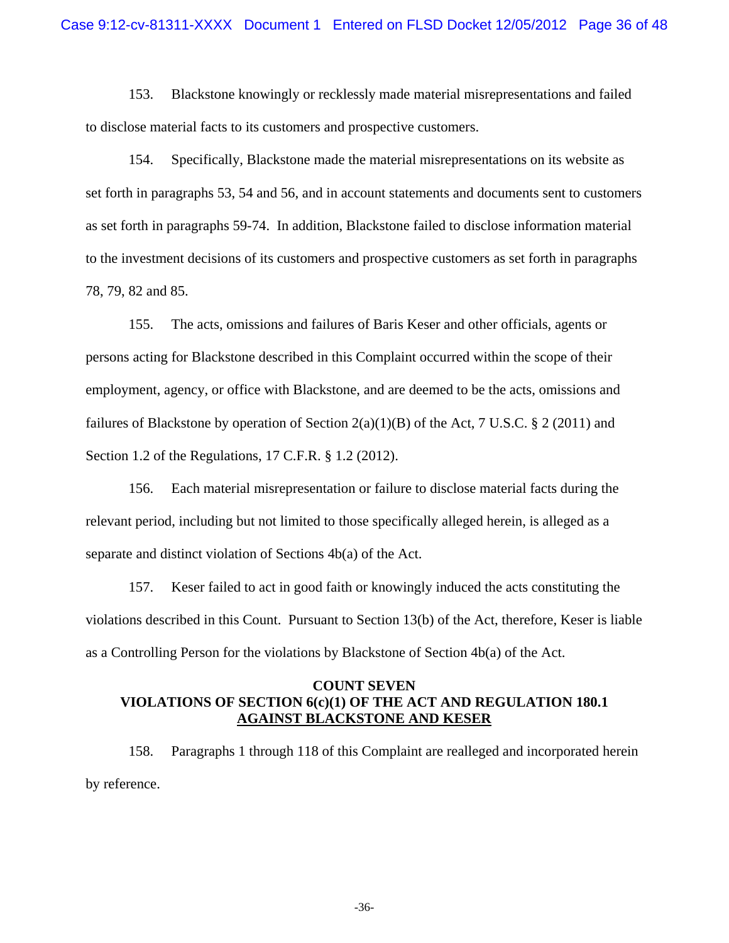153. Blackstone knowingly or recklessly made material misrepresentations and failed to disclose material facts to its customers and prospective customers.

154. Specifically, Blackstone made the material misrepresentations on its website as set forth in paragraphs 53, 54 and 56, and in account statements and documents sent to customers as set forth in paragraphs 59-74. In addition, Blackstone failed to disclose information material to the investment decisions of its customers and prospective customers as set forth in paragraphs 78, 79, 82 and 85.

155. The acts, omissions and failures of Baris Keser and other officials, agents or persons acting for Blackstone described in this Complaint occurred within the scope of their employment, agency, or office with Blackstone, and are deemed to be the acts, omissions and failures of Blackstone by operation of Section  $2(a)(1)(B)$  of the Act, 7 U.S.C. § 2 (2011) and Section 1.2 of the Regulations, 17 C.F.R. § 1.2 (2012).

156. Each material misrepresentation or failure to disclose material facts during the relevant period, including but not limited to those specifically alleged herein, is alleged as a separate and distinct violation of Sections 4b(a) of the Act.

157. Keser failed to act in good faith or knowingly induced the acts constituting the violations described in this Count. Pursuant to Section 13(b) of the Act, therefore, Keser is liable as a Controlling Person for the violations by Blackstone of Section 4b(a) of the Act.

## **COUNT SEVEN VIOLATIONS OF SECTION 6(c)(1) OF THE ACT AND REGULATION 180.1 AGAINST BLACKSTONE AND KESER**

158. Paragraphs 1 through 118 of this Complaint are realleged and incorporated herein by reference.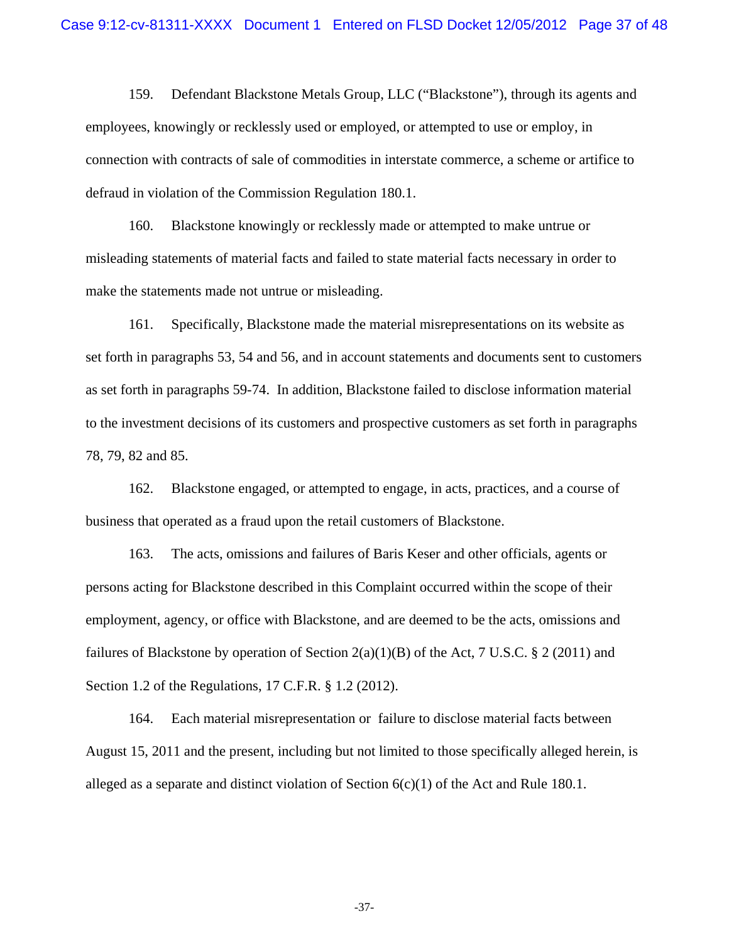159. Defendant Blackstone Metals Group, LLC ("Blackstone"), through its agents and employees, knowingly or recklessly used or employed, or attempted to use or employ, in connection with contracts of sale of commodities in interstate commerce, a scheme or artifice to defraud in violation of the Commission Regulation 180.1.

160. Blackstone knowingly or recklessly made or attempted to make untrue or misleading statements of material facts and failed to state material facts necessary in order to make the statements made not untrue or misleading.

161. Specifically, Blackstone made the material misrepresentations on its website as set forth in paragraphs 53, 54 and 56, and in account statements and documents sent to customers as set forth in paragraphs 59-74. In addition, Blackstone failed to disclose information material to the investment decisions of its customers and prospective customers as set forth in paragraphs 78, 79, 82 and 85.

162. Blackstone engaged, or attempted to engage, in acts, practices, and a course of business that operated as a fraud upon the retail customers of Blackstone.

163. The acts, omissions and failures of Baris Keser and other officials, agents or persons acting for Blackstone described in this Complaint occurred within the scope of their employment, agency, or office with Blackstone, and are deemed to be the acts, omissions and failures of Blackstone by operation of Section  $2(a)(1)(B)$  of the Act, 7 U.S.C. § 2 (2011) and Section 1.2 of the Regulations, 17 C.F.R. § 1.2 (2012).

164. Each material misrepresentation or failure to disclose material facts between August 15, 2011 and the present, including but not limited to those specifically alleged herein, is alleged as a separate and distinct violation of Section  $6(c)(1)$  of the Act and Rule 180.1.

-37-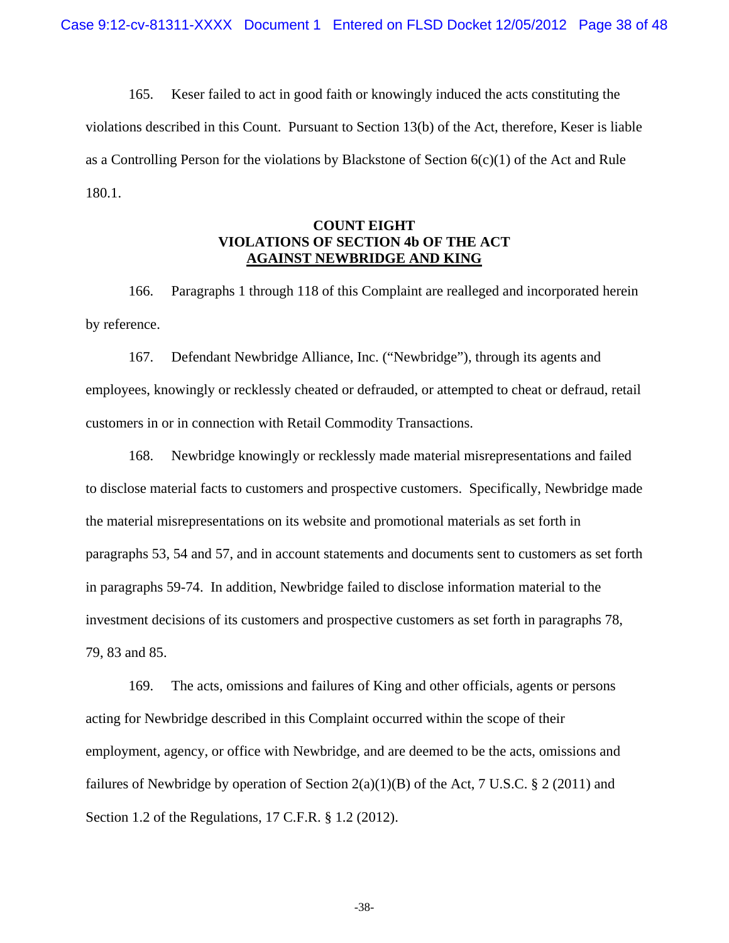165. Keser failed to act in good faith or knowingly induced the acts constituting the violations described in this Count. Pursuant to Section 13(b) of the Act, therefore, Keser is liable as a Controlling Person for the violations by Blackstone of Section  $6(c)(1)$  of the Act and Rule 180.1.

# **COUNT EIGHT VIOLATIONS OF SECTION 4b OF THE ACT AGAINST NEWBRIDGE AND KING**

166. Paragraphs 1 through 118 of this Complaint are realleged and incorporated herein by reference.

167. Defendant Newbridge Alliance, Inc. ("Newbridge"), through its agents and employees, knowingly or recklessly cheated or defrauded, or attempted to cheat or defraud, retail customers in or in connection with Retail Commodity Transactions.

168. Newbridge knowingly or recklessly made material misrepresentations and failed to disclose material facts to customers and prospective customers. Specifically, Newbridge made the material misrepresentations on its website and promotional materials as set forth in paragraphs 53, 54 and 57, and in account statements and documents sent to customers as set forth in paragraphs 59-74. In addition, Newbridge failed to disclose information material to the investment decisions of its customers and prospective customers as set forth in paragraphs 78, 79, 83 and 85.

169. The acts, omissions and failures of King and other officials, agents or persons acting for Newbridge described in this Complaint occurred within the scope of their employment, agency, or office with Newbridge, and are deemed to be the acts, omissions and failures of Newbridge by operation of Section  $2(a)(1)(B)$  of the Act, 7 U.S.C. § 2 (2011) and Section 1.2 of the Regulations, 17 C.F.R. § 1.2 (2012).

-38-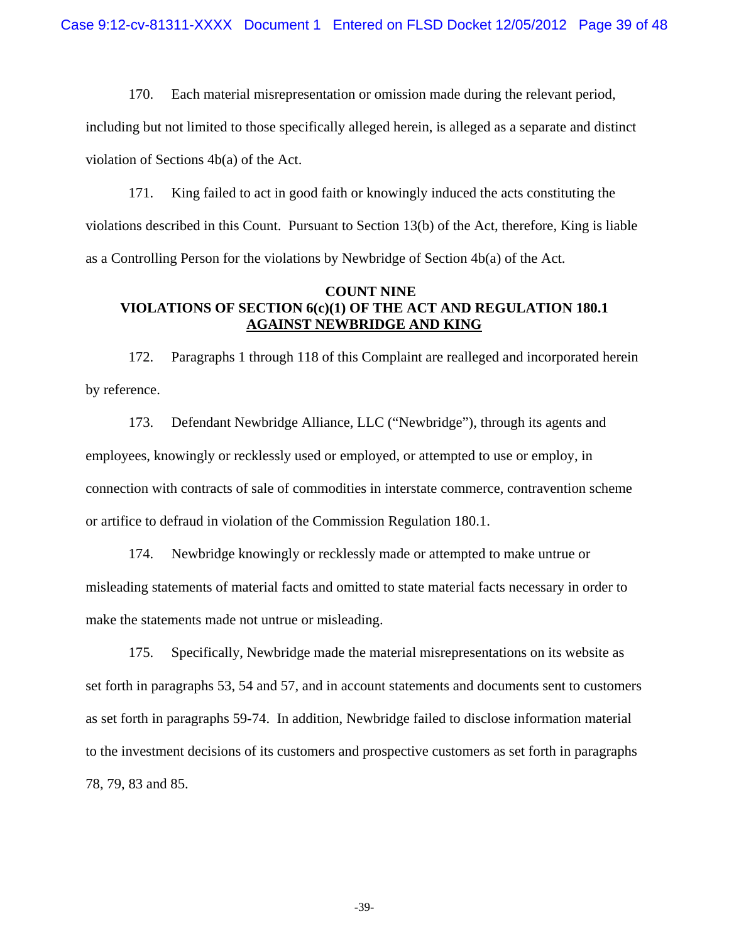170. Each material misrepresentation or omission made during the relevant period, including but not limited to those specifically alleged herein, is alleged as a separate and distinct violation of Sections 4b(a) of the Act.

171. King failed to act in good faith or knowingly induced the acts constituting the violations described in this Count. Pursuant to Section 13(b) of the Act, therefore, King is liable as a Controlling Person for the violations by Newbridge of Section 4b(a) of the Act.

### **COUNT NINE VIOLATIONS OF SECTION 6(c)(1) OF THE ACT AND REGULATION 180.1 AGAINST NEWBRIDGE AND KING**

172. Paragraphs 1 through 118 of this Complaint are realleged and incorporated herein by reference.

173. Defendant Newbridge Alliance, LLC ("Newbridge"), through its agents and employees, knowingly or recklessly used or employed, or attempted to use or employ, in connection with contracts of sale of commodities in interstate commerce, contravention scheme or artifice to defraud in violation of the Commission Regulation 180.1.

174. Newbridge knowingly or recklessly made or attempted to make untrue or misleading statements of material facts and omitted to state material facts necessary in order to make the statements made not untrue or misleading.

175. Specifically, Newbridge made the material misrepresentations on its website as set forth in paragraphs 53, 54 and 57, and in account statements and documents sent to customers as set forth in paragraphs 59-74. In addition, Newbridge failed to disclose information material to the investment decisions of its customers and prospective customers as set forth in paragraphs 78, 79, 83 and 85.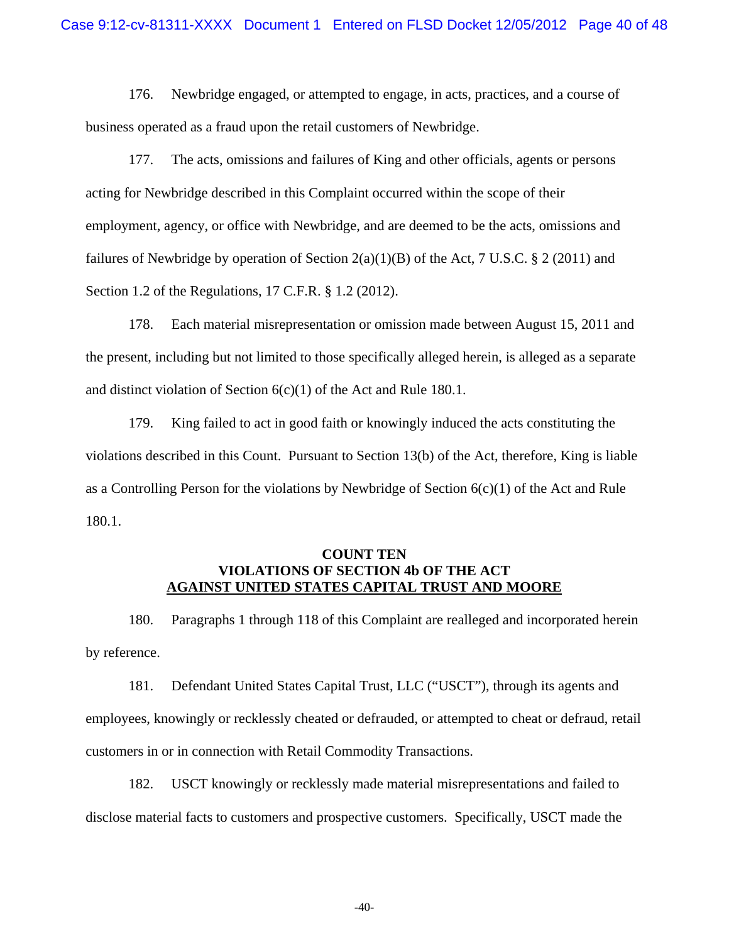176. Newbridge engaged, or attempted to engage, in acts, practices, and a course of business operated as a fraud upon the retail customers of Newbridge.

177. The acts, omissions and failures of King and other officials, agents or persons acting for Newbridge described in this Complaint occurred within the scope of their employment, agency, or office with Newbridge, and are deemed to be the acts, omissions and failures of Newbridge by operation of Section  $2(a)(1)(B)$  of the Act, 7 U.S.C. § 2 (2011) and Section 1.2 of the Regulations, 17 C.F.R. § 1.2 (2012).

178. Each material misrepresentation or omission made between August 15, 2011 and the present, including but not limited to those specifically alleged herein, is alleged as a separate and distinct violation of Section 6(c)(1) of the Act and Rule 180.1.

179. King failed to act in good faith or knowingly induced the acts constituting the violations described in this Count. Pursuant to Section 13(b) of the Act, therefore, King is liable as a Controlling Person for the violations by Newbridge of Section  $6(c)(1)$  of the Act and Rule 180.1.

# **COUNT TEN VIOLATIONS OF SECTION 4b OF THE ACT AGAINST UNITED STATES CAPITAL TRUST AND MOORE**

180. Paragraphs 1 through 118 of this Complaint are realleged and incorporated herein by reference.

181. Defendant United States Capital Trust, LLC ("USCT"), through its agents and employees, knowingly or recklessly cheated or defrauded, or attempted to cheat or defraud, retail customers in or in connection with Retail Commodity Transactions.

182. USCT knowingly or recklessly made material misrepresentations and failed to disclose material facts to customers and prospective customers. Specifically, USCT made the

-40-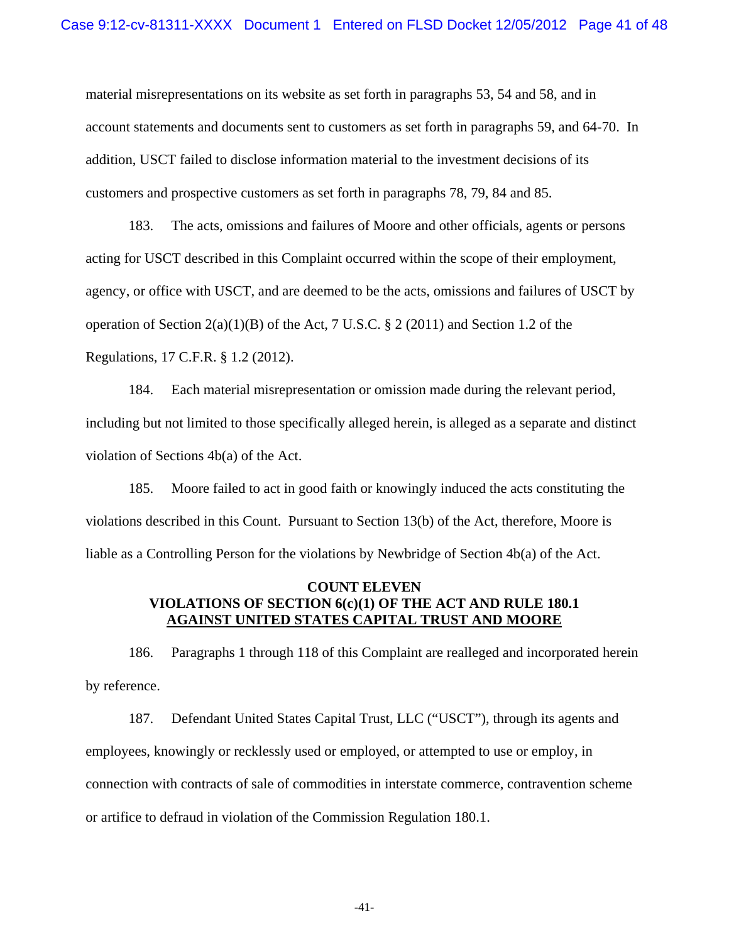material misrepresentations on its website as set forth in paragraphs 53, 54 and 58, and in account statements and documents sent to customers as set forth in paragraphs 59, and 64-70. In addition, USCT failed to disclose information material to the investment decisions of its customers and prospective customers as set forth in paragraphs 78, 79, 84 and 85.

183. The acts, omissions and failures of Moore and other officials, agents or persons acting for USCT described in this Complaint occurred within the scope of their employment, agency, or office with USCT, and are deemed to be the acts, omissions and failures of USCT by operation of Section  $2(a)(1)(B)$  of the Act, 7 U.S.C. § 2 (2011) and Section 1.2 of the Regulations, 17 C.F.R. § 1.2 (2012).

184. Each material misrepresentation or omission made during the relevant period, including but not limited to those specifically alleged herein, is alleged as a separate and distinct violation of Sections 4b(a) of the Act.

185. Moore failed to act in good faith or knowingly induced the acts constituting the violations described in this Count. Pursuant to Section 13(b) of the Act, therefore, Moore is liable as a Controlling Person for the violations by Newbridge of Section 4b(a) of the Act.

## **COUNT ELEVEN VIOLATIONS OF SECTION 6(c)(1) OF THE ACT AND RULE 180.1 AGAINST UNITED STATES CAPITAL TRUST AND MOORE**

186. Paragraphs 1 through 118 of this Complaint are realleged and incorporated herein by reference.

187. Defendant United States Capital Trust, LLC ("USCT"), through its agents and employees, knowingly or recklessly used or employed, or attempted to use or employ, in connection with contracts of sale of commodities in interstate commerce, contravention scheme or artifice to defraud in violation of the Commission Regulation 180.1.

-41-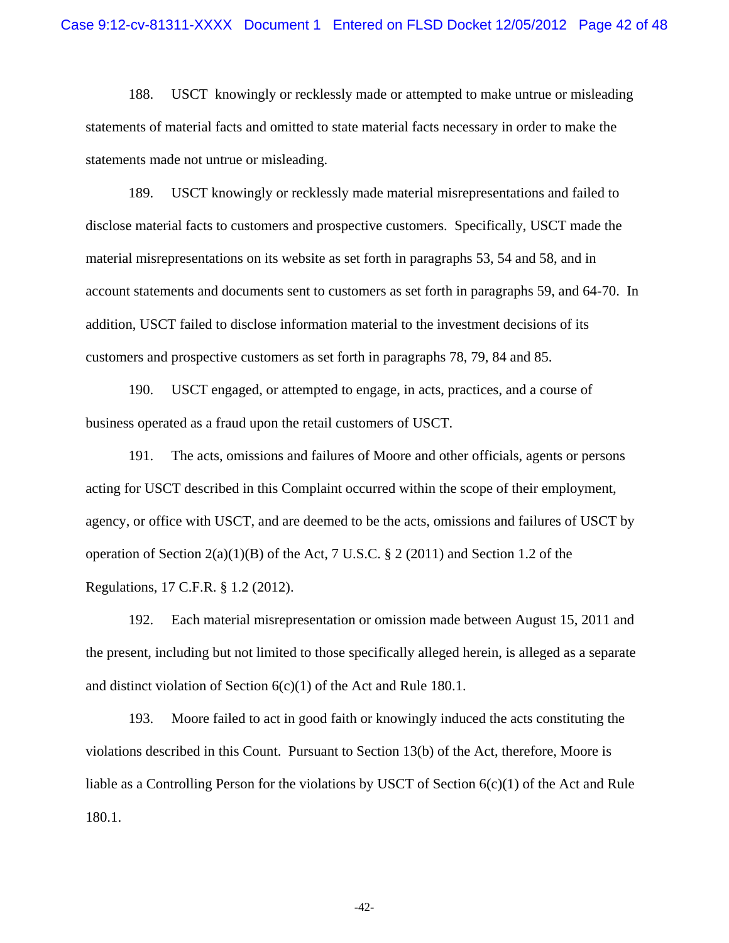188. USCT knowingly or recklessly made or attempted to make untrue or misleading statements of material facts and omitted to state material facts necessary in order to make the statements made not untrue or misleading.

189. USCT knowingly or recklessly made material misrepresentations and failed to disclose material facts to customers and prospective customers. Specifically, USCT made the material misrepresentations on its website as set forth in paragraphs 53, 54 and 58, and in account statements and documents sent to customers as set forth in paragraphs 59, and 64-70. In addition, USCT failed to disclose information material to the investment decisions of its customers and prospective customers as set forth in paragraphs 78, 79, 84 and 85.

190. USCT engaged, or attempted to engage, in acts, practices, and a course of business operated as a fraud upon the retail customers of USCT.

191. The acts, omissions and failures of Moore and other officials, agents or persons acting for USCT described in this Complaint occurred within the scope of their employment, agency, or office with USCT, and are deemed to be the acts, omissions and failures of USCT by operation of Section  $2(a)(1)(B)$  of the Act, 7 U.S.C. § 2 (2011) and Section 1.2 of the Regulations, 17 C.F.R. § 1.2 (2012).

192. Each material misrepresentation or omission made between August 15, 2011 and the present, including but not limited to those specifically alleged herein, is alleged as a separate and distinct violation of Section 6(c)(1) of the Act and Rule 180.1.

193. Moore failed to act in good faith or knowingly induced the acts constituting the violations described in this Count. Pursuant to Section 13(b) of the Act, therefore, Moore is liable as a Controlling Person for the violations by USCT of Section 6(c)(1) of the Act and Rule 180.1.

-42-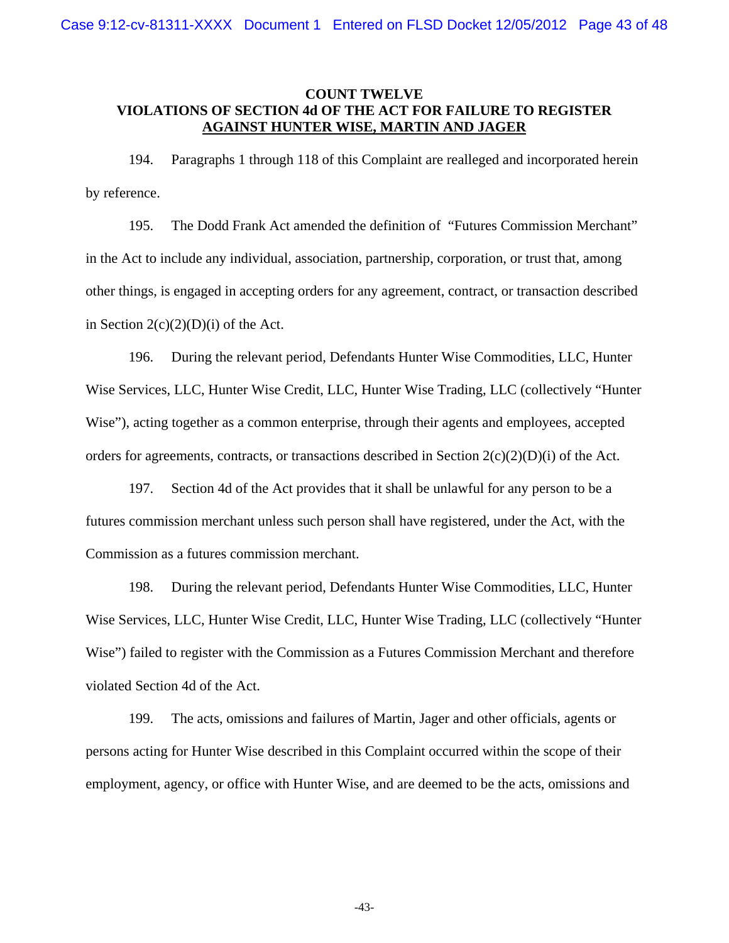## **COUNT TWELVE VIOLATIONS OF SECTION 4d OF THE ACT FOR FAILURE TO REGISTER AGAINST HUNTER WISE, MARTIN AND JAGER**

194. Paragraphs 1 through 118 of this Complaint are realleged and incorporated herein by reference.

195. The Dodd Frank Act amended the definition of "Futures Commission Merchant" in the Act to include any individual, association, partnership, corporation, or trust that, among other things, is engaged in accepting orders for any agreement, contract, or transaction described in Section  $2(c)(2)(D)(i)$  of the Act.

196. During the relevant period, Defendants Hunter Wise Commodities, LLC, Hunter Wise Services, LLC, Hunter Wise Credit, LLC, Hunter Wise Trading, LLC (collectively "Hunter Wise"), acting together as a common enterprise, through their agents and employees, accepted orders for agreements, contracts, or transactions described in Section  $2(c)(2)(D)(i)$  of the Act.

197. Section 4d of the Act provides that it shall be unlawful for any person to be a futures commission merchant unless such person shall have registered, under the Act, with the Commission as a futures commission merchant.

198. During the relevant period, Defendants Hunter Wise Commodities, LLC, Hunter Wise Services, LLC, Hunter Wise Credit, LLC, Hunter Wise Trading, LLC (collectively "Hunter Wise") failed to register with the Commission as a Futures Commission Merchant and therefore violated Section 4d of the Act.

199. The acts, omissions and failures of Martin, Jager and other officials, agents or persons acting for Hunter Wise described in this Complaint occurred within the scope of their employment, agency, or office with Hunter Wise, and are deemed to be the acts, omissions and

-43-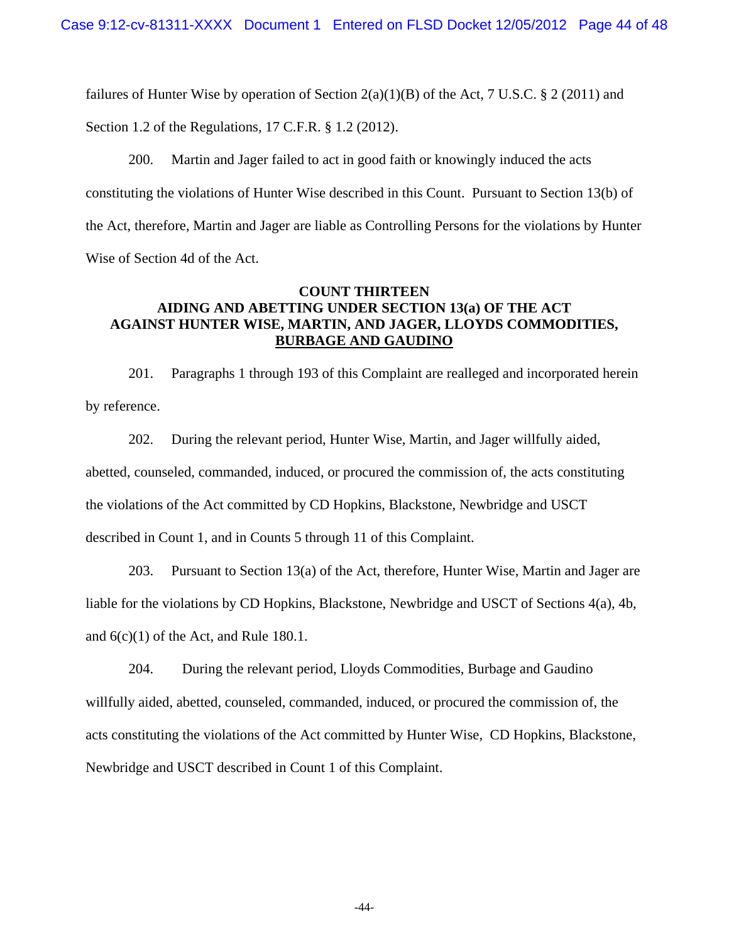failures of Hunter Wise by operation of Section  $2(a)(1)(B)$  of the Act, 7 U.S.C. § 2 (2011) and Section 1.2 of the Regulations, 17 C.F.R. § 1.2 (2012).

200. Martin and Jager failed to act in good faith or knowingly induced the acts constituting the violations of Hunter Wise described in this Count. Pursuant to Section 13(b) of the Act, therefore, Martin and Jager are liable as Controlling Persons for the violations by Hunter Wise of Section 4d of the Act.

# **COUNT THIRTEEN AIDING AND ABETTING UNDER SECTION 13(a) OF THE ACT AGAINST HUNTER WISE, MARTIN, AND JAGER, LLOYDS COMMODITIES, BURBAGE AND GAUDINO**

201. Paragraphs 1 through 193 of this Complaint are realleged and incorporated herein by reference.

202. During the relevant period, Hunter Wise, Martin, and Jager willfully aided, abetted, counseled, commanded, induced, or procured the commission of, the acts constituting the violations of the Act committed by CD Hopkins, Blackstone, Newbridge and USCT described in Count 1, and in Counts 5 through 11 of this Complaint.

203. Pursuant to Section 13(a) of the Act, therefore, Hunter Wise, Martin and Jager are liable for the violations by CD Hopkins, Blackstone, Newbridge and USCT of Sections 4(a), 4b, and 6(c)(1) of the Act, and Rule 180.1.

204. During the relevant period, Lloyds Commodities, Burbage and Gaudino willfully aided, abetted, counseled, commanded, induced, or procured the commission of, the acts constituting the violations of the Act committed by Hunter Wise, CD Hopkins, Blackstone, Newbridge and USCT described in Count 1 of this Complaint.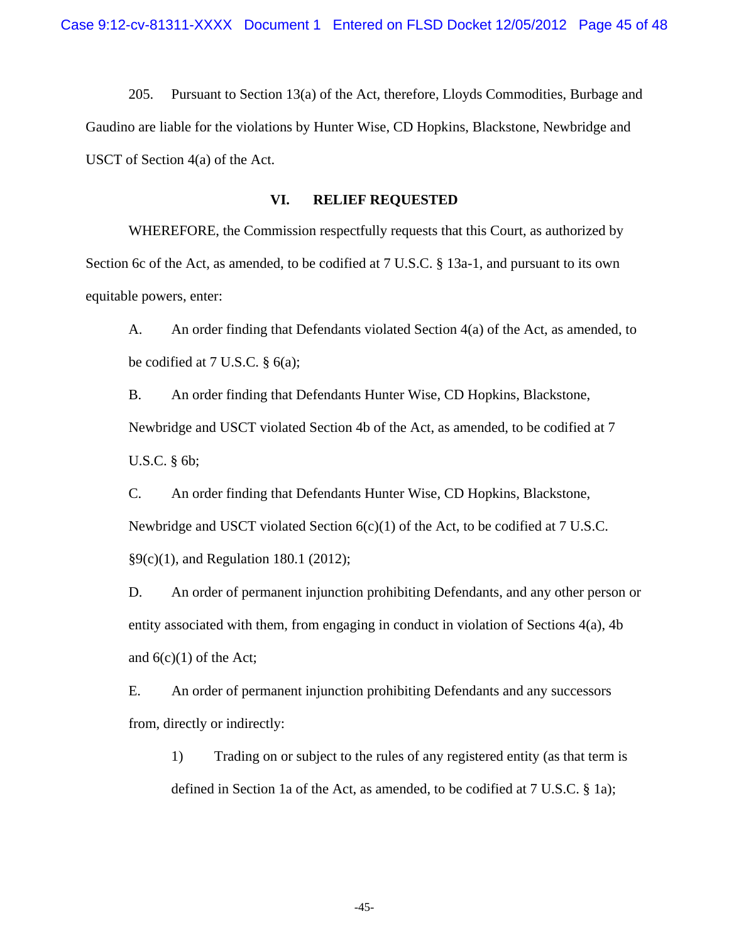205. Pursuant to Section 13(a) of the Act, therefore, Lloyds Commodities, Burbage and Gaudino are liable for the violations by Hunter Wise, CD Hopkins, Blackstone, Newbridge and USCT of Section 4(a) of the Act.

## **VI. RELIEF REQUESTED**

WHEREFORE, the Commission respectfully requests that this Court, as authorized by Section 6c of the Act, as amended, to be codified at 7 U.S.C. § 13a-1, and pursuant to its own equitable powers, enter:

A. An order finding that Defendants violated Section 4(a) of the Act, as amended, to be codified at 7 U.S.C.  $\S$  6(a);

B. An order finding that Defendants Hunter Wise, CD Hopkins, Blackstone, Newbridge and USCT violated Section 4b of the Act, as amended, to be codified at 7 U.S.C. § 6b;

C. An order finding that Defendants Hunter Wise, CD Hopkins, Blackstone, Newbridge and USCT violated Section 6(c)(1) of the Act, to be codified at 7 U.S.C. §9(c)(1), and Regulation 180.1 (2012);

D. An order of permanent injunction prohibiting Defendants, and any other person or entity associated with them, from engaging in conduct in violation of Sections 4(a), 4b and  $6(c)(1)$  of the Act;

E. An order of permanent injunction prohibiting Defendants and any successors from, directly or indirectly:

1) Trading on or subject to the rules of any registered entity (as that term is defined in Section 1a of the Act, as amended, to be codified at 7 U.S.C. § 1a);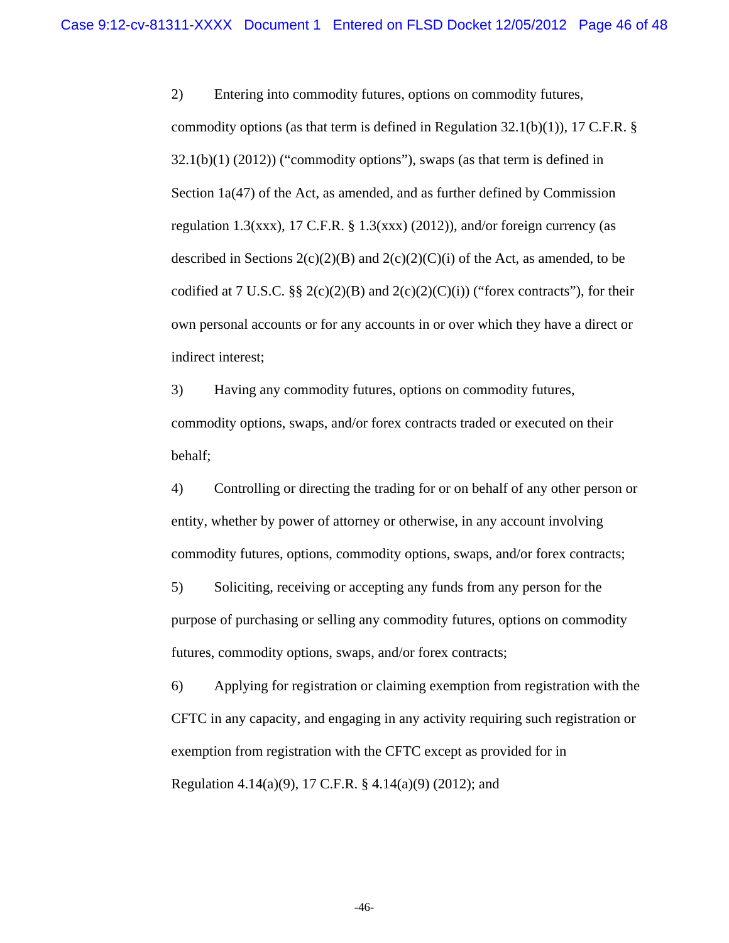2) Entering into commodity futures, options on commodity futures, commodity options (as that term is defined in Regulation  $32.1(b)(1)$ ), 17 C.F.R. §  $32.1(b)(1)$  (2012)) ("commodity options"), swaps (as that term is defined in Section 1a(47) of the Act, as amended, and as further defined by Commission regulation 1.3(xxx), 17 C.F.R. § 1.3(xxx) (2012)), and/or foreign currency (as described in Sections  $2(c)(2)(B)$  and  $2(c)(2)(C)(i)$  of the Act, as amended, to be codified at 7 U.S.C. §§ 2(c)(2)(B) and 2(c)(2)(C)(i)) ("forex contracts"), for their own personal accounts or for any accounts in or over which they have a direct or indirect interest;

3) Having any commodity futures, options on commodity futures, commodity options, swaps, and/or forex contracts traded or executed on their behalf;

4) Controlling or directing the trading for or on behalf of any other person or entity, whether by power of attorney or otherwise, in any account involving commodity futures, options, commodity options, swaps, and/or forex contracts;

5) Soliciting, receiving or accepting any funds from any person for the purpose of purchasing or selling any commodity futures, options on commodity futures, commodity options, swaps, and/or forex contracts;

6) Applying for registration or claiming exemption from registration with the CFTC in any capacity, and engaging in any activity requiring such registration or exemption from registration with the CFTC except as provided for in Regulation 4.14(a)(9), 17 C.F.R. § 4.14(a)(9) (2012); and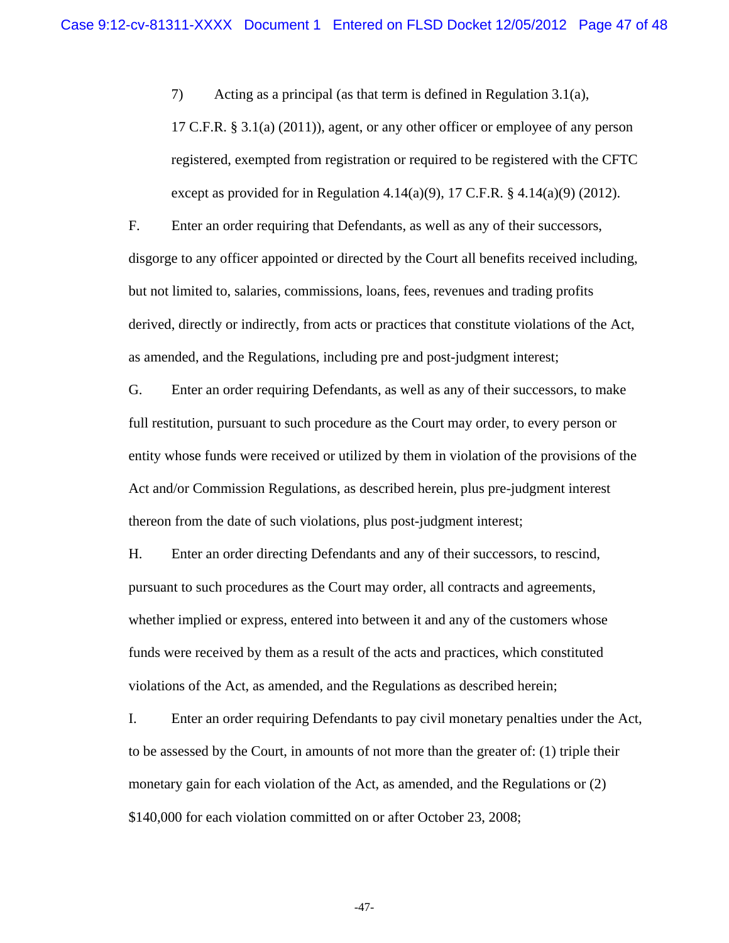7) Acting as a principal (as that term is defined in Regulation 3.1(a),

17 C.F.R.  $\S 3.1(a)$  (2011)), agent, or any other officer or employee of any person registered, exempted from registration or required to be registered with the CFTC except as provided for in Regulation 4.14(a)(9), 17 C.F.R.  $\S$  4.14(a)(9) (2012).

F. Enter an order requiring that Defendants, as well as any of their successors, disgorge to any officer appointed or directed by the Court all benefits received including, but not limited to, salaries, commissions, loans, fees, revenues and trading profits derived, directly or indirectly, from acts or practices that constitute violations of the Act, as amended, and the Regulations, including pre and post-judgment interest;

G. Enter an order requiring Defendants, as well as any of their successors, to make full restitution, pursuant to such procedure as the Court may order, to every person or entity whose funds were received or utilized by them in violation of the provisions of the Act and/or Commission Regulations, as described herein, plus pre-judgment interest thereon from the date of such violations, plus post-judgment interest;

H. Enter an order directing Defendants and any of their successors, to rescind, pursuant to such procedures as the Court may order, all contracts and agreements, whether implied or express, entered into between it and any of the customers whose funds were received by them as a result of the acts and practices, which constituted violations of the Act, as amended, and the Regulations as described herein;

I. Enter an order requiring Defendants to pay civil monetary penalties under the Act, to be assessed by the Court, in amounts of not more than the greater of: (1) triple their monetary gain for each violation of the Act, as amended, and the Regulations or (2) \$140,000 for each violation committed on or after October 23, 2008;

-47-